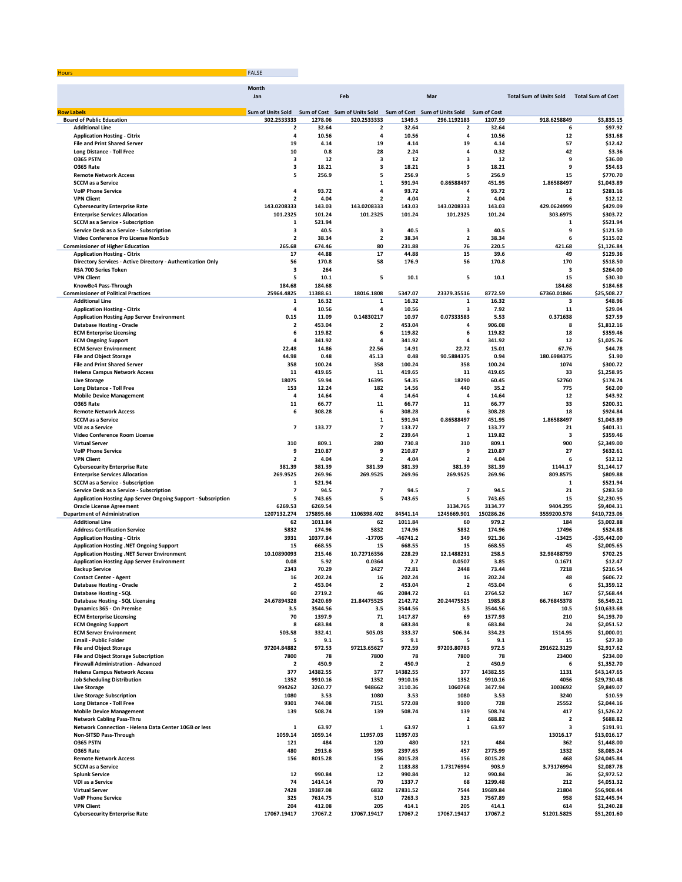| Hours | the control of the control of |
|-------|-------------------------------|
|       |                               |

|                                                                                                    | Month<br>Jan             |                   | Feb                           |                   | Mar                            |                    | <b>Total Sum of Units Sold</b> | <b>Total Sum of Cost</b>  |
|----------------------------------------------------------------------------------------------------|--------------------------|-------------------|-------------------------------|-------------------|--------------------------------|--------------------|--------------------------------|---------------------------|
| <b>Row Labels</b>                                                                                  | <b>Sum of Units Sold</b> |                   | Sum of Cost Sum of Units Sold |                   | Sum of Cost Sum of Units Sold  | <b>Sum of Cost</b> |                                |                           |
| <b>Board of Public Education</b>                                                                   | 302.2533333              | 1278.06           | 320.2533333                   | 1349.5            | 296.1192183                    | 1207.59            | 918.6258849                    | \$3,835.15                |
| <b>Additional Line</b>                                                                             | $\overline{\mathbf{2}}$  | 32.64             | $\mathbf{2}$                  | 32.64             | 2                              | 32.64              | 6                              | \$97.92                   |
| <b>Application Hosting - Citrix</b>                                                                | 4                        | 10.56             | 4                             | 10.56             | 4                              | 10.56              | 12                             | \$31.68                   |
| <b>File and Print Shared Server</b>                                                                | 19                       | 4.14              | 19                            | 4.14              | 19                             | 4.14               | 57                             | \$12.42                   |
| <b>Long Distance - Toll Free</b>                                                                   | 10                       | 0.8               | 28                            | 2.24              | 4                              | 0.32               | 42                             | \$3.36                    |
| <b>0365 PSTN</b>                                                                                   | 3                        | 12                | 3                             | 12                | 3                              | 12                 | 9                              | \$36.00                   |
| <b>0365 Rate</b><br><b>Remote Network Access</b>                                                   | з<br>5                   | 18.21<br>256.9    | з<br>5                        | 18.21<br>256.9    | 3<br>5                         | 18.21<br>256.9     | 9<br>15                        | \$54.63<br>\$770.70       |
| <b>SCCM</b> as a Service                                                                           |                          |                   | $\mathbf{1}$                  | 591.94            | 0.86588497                     | 451.95             | 1.86588497                     | \$1,043.89                |
| <b>VolP Phone Service</b>                                                                          | 4                        | 93.72             | 4                             | 93.72             | 4                              | 93.72              | 12                             | \$281.16                  |
| <b>VPN Client</b>                                                                                  | $\overline{\mathbf{2}}$  | 4.04              | $\overline{2}$                | 4.04              | $\overline{\mathbf{2}}$        | 4.04               | 6                              | \$12.12                   |
| <b>Cybersecurity Enterprise Rate</b>                                                               | 143.0208333              | 143.03            | 143.0208333                   | 143.03            | 143.0208333                    | 143.03             | 429.0624999                    | \$429.09                  |
| <b>Enterprise Services Allocation</b>                                                              | 101.2325                 | 101.24            | 101.2325                      | 101.24            | 101.2325                       | 101.24             | 303.6975                       | \$303.72                  |
| <b>SCCM as a Service - Subscription</b>                                                            | 1                        | 521.94            |                               |                   |                                |                    | $\mathbf{1}$                   | \$521.94                  |
| Service Desk as a Service - Subscription                                                           | з                        | 40.5              | 3                             | 40.5              | $\mathbf 3$                    | 40.5               | 9                              | \$121.50                  |
| Video Conference Pro License NonSub                                                                | $\overline{2}$           | 38.34             | $\mathbf{2}$                  | 38.34             | $\overline{\mathbf{2}}$        | 38.34              | 6                              | \$115.02                  |
| <b>Commissioner of Higher Education</b>                                                            | 265.68                   | 674.46            | 80                            | 231.88            | 76                             | 220.5              | 421.68                         | \$1,126.84                |
| <b>Application Hosting - Citrix</b><br>Directory Services - Active Directory - Authentication Only | 17<br>56                 | 44.88<br>170.8    | 17<br>58                      | 44.88<br>176.9    | 15<br>56                       | 39.6<br>170.8      | 49<br>170                      | \$129.36<br>\$518.50      |
| RSA 700 Series Token                                                                               | 3                        | 264               |                               |                   |                                |                    | $\overline{\mathbf{3}}$        | \$264.00                  |
| <b>VPN Client</b>                                                                                  | 5                        | 10.1              | 5                             | 10.1              | 5                              | 10.1               | 15                             | \$30.30                   |
| KnowBe4 Pass-Through                                                                               | 184.68                   | 184.68            |                               |                   |                                |                    | 184.68                         | \$184.68                  |
| <b>Commissioner of Political Practices</b>                                                         | 25964.4825               | 11388.61          | 18016.1808                    | 5347.07           | 23379.35516                    | 8772.59            | 67360.01846                    | \$25,508.27               |
| <b>Additional Line</b>                                                                             | 1                        | 16.32             | 1                             | 16.32             | 1                              | 16.32              | з                              | \$48.96                   |
| <b>Application Hosting - Citrix</b>                                                                | 4                        | 10.56             | 4                             | 10.56             | 3                              | 7.92               | 11                             | \$29.04                   |
| <b>Application Hosting App Server Environment</b>                                                  | 0.15                     | 11.09             | 0.14830217                    | 10.97             | 0.07333583                     | 5.53               | 0.371638                       | \$27.59                   |
| <b>Database Hosting - Oracle</b>                                                                   | $\overline{\mathbf{2}}$  | 453.04            | $\overline{2}$                | 453.04            | 4                              | 906.08             | 8                              | \$1,812.16                |
| <b>ECM Enterprise Licensing</b>                                                                    | 6                        | 119.82            | 6                             | 119.82            | 6                              | 119.82             | 18                             | \$359.46                  |
| <b>ECM Ongoing Support</b>                                                                         | 4                        | 341.92            | 4                             | 341.92            | 4                              | 341.92             | 12                             | \$1,025.76                |
| <b>ECM Server Environment</b>                                                                      | 22.48<br>44.98           | 14.86<br>0.48     | 22.56<br>45.13                | 14.91<br>0.48     | 22.72<br>90.5884375            | 15.01<br>0.94      | 67.76<br>180.6984375           | \$44.78                   |
| <b>File and Object Storage</b><br><b>File and Print Shared Server</b>                              | 358                      | 100.24            | 358                           | 100.24            | 358                            | 100.24             | 1074                           | \$1.90<br>\$300.72        |
| <b>Helena Campus Network Access</b>                                                                | 11                       | 419.65            | 11                            | 419.65            | 11                             | 419.65             | 33                             | \$1,258.95                |
| <b>Live Storage</b>                                                                                | 18075                    | 59.94             | 16395                         | 54.35             | 18290                          | 60.45              | 52760                          | \$174.74                  |
| <b>Long Distance - Toll Free</b>                                                                   | 153                      | 12.24             | 182                           | 14.56             | 440                            | 35.2               | 775                            | \$62.00                   |
| <b>Mobile Device Management</b>                                                                    | 4                        | 14.64             | 4                             | 14.64             | 4                              | 14.64              | 12                             | \$43.92                   |
| <b>0365 Rate</b>                                                                                   | 11                       | 66.77             | 11                            | 66.77             | 11                             | 66.77              | 33                             | \$200.31                  |
| <b>Remote Network Access</b>                                                                       | 6                        | 308.28            | 6                             | 308.28            | 6                              | 308.28             | 18                             | \$924.84                  |
| <b>SCCM</b> as a Service                                                                           |                          |                   | 1                             | 591.94            | 0.86588497                     | 451.95             | 1.86588497                     | \$1,043.89                |
| VDI as a Service                                                                                   | 7                        | 133.77            | 7                             | 133.77            | $\overline{ }$                 | 133.77             | 21                             | \$401.31                  |
| Video Conference Room License                                                                      | 310                      | 809.1             | $\overline{2}$<br>280         | 239.64<br>730.8   | $\mathbf{1}$<br>310            | 119.82<br>809.1    | 3<br>900                       | \$359.46<br>\$2,349.00    |
| <b>Virtual Server</b><br><b>VolP Phone Service</b>                                                 | 9                        | 210.87            | 9                             | 210.87            | 9                              | 210.87             | 27                             | \$632.61                  |
| <b>VPN Client</b>                                                                                  | $\overline{\mathbf{2}}$  | 4.04              | $\overline{\mathbf{c}}$       | 4.04              | $\overline{\mathbf{2}}$        | 4.04               | 6                              | \$12.12                   |
| <b>Cybersecurity Enterprise Rate</b>                                                               | 381.39                   | 381.39            | 381.39                        | 381.39            | 381.39                         | 381.39             | 1144.17                        | \$1,144.17                |
| <b>Enterprise Services Allocation</b>                                                              | 269.9525                 | 269.96            | 269.9525                      | 269.96            | 269.9525                       | 269.96             | 809.8575                       | \$809.88                  |
| <b>SCCM as a Service - Subscription</b>                                                            | 1                        | 521.94            |                               |                   |                                |                    | 1                              | \$521.94                  |
| Service Desk as a Service - Subscription                                                           | 7                        | 94.5              | 7                             | 94.5              | $\overline{\mathbf{z}}$        | 94.5               | 21                             | \$283.50                  |
| Application Hosting App Server Ongoing Support - Subscription                                      | 5                        | 743.65            | 5                             | 743.65            | 5                              | 743.65             | 15                             | \$2,230.95                |
| <b>Oracle License Agreement</b>                                                                    | 6269.53                  | 6269.54           |                               |                   | 3134.765                       | 3134.77            | 9404.295                       | \$9,404.31                |
| <b>Department of Administration</b>                                                                | 1207132.274              | 175895.66         | 1106398.402                   | 84541.14          | 1245669.901                    | 150286.26          | 3559200.578                    | \$410,723.06              |
| <b>Additional Line</b><br><b>Address Certification Service</b>                                     | 62<br>5832               | 1011.84<br>174.96 | 62<br>5832                    | 1011.84<br>174.96 | 60<br>5832                     | 979.2<br>174.96    | 184<br>17496                   | \$3,002.88<br>\$524.88    |
| <b>Application Hosting - Citrix</b>                                                                | 3931                     | 10377.84          | $-17705$                      | $-46741.2$        | 349                            | 921.36             | -13425                         | $-$35,442.00$             |
| Application Hosting .NET Ongoing Support                                                           | 15                       | 668.55            | 15                            | 668.55            | 15                             | 668.55             | 45                             | \$2,005.65                |
| Application Hosting .NET Server Environment                                                        | 10.10890093              | 215.46            | 10.72716356                   | 228.29            | 12.1488231                     | 258.5              | 32.98488759                    | \$702.25                  |
| <b>Application Hosting App Server Environment</b>                                                  | 0.08                     | 5.92              | 0.0364                        | 2.7               | 0.0507                         | 3.85               | 0.1671                         | \$12.47                   |
| <b>Backup Service</b>                                                                              | 2343                     | 70.29             | 2427                          | 72.81             | 2448                           | 73.44              | 7218                           | \$216.54                  |
| <b>Contact Center - Agent</b>                                                                      | 16                       | 202.24            | 16                            | 202.24            | 16                             | 202.24             | 48                             | \$606.72                  |
| <b>Database Hosting - Oracle</b>                                                                   | $\overline{\mathbf{2}}$  | 453.04            | $\overline{\mathbf{2}}$       | 453.04            | $\overline{\mathbf{2}}$        | 453.04             | 6                              | \$1,359.12                |
| <b>Database Hosting - SQL</b>                                                                      | 60                       | 2719.2            | 46                            | 2084.72           | 61                             | 2764.52            | 167                            | \$7,568.44                |
| <b>Database Hosting - SQL Licensing</b>                                                            | 24.67894328              | 2420.69           | 21.84475525                   | 2142.72           | 20.24475525                    | 1985.8             | 66.76845378                    | \$6,549.21                |
| Dynamics 365 - On Premise                                                                          | 3.5                      | 3544.56           | 3.5                           | 3544.56           | 3.5                            | 3544.56            | 10.5                           | \$10,633.68               |
| <b>ECM Enterprise Licensing</b><br><b>ECM Ongoing Support</b>                                      | 70<br>8                  | 1397.9<br>683.84  | 71<br>8                       | 1417.87<br>683.84 | 69<br>8                        | 1377.93<br>683.84  | 210<br>24                      | \$4,193.70<br>\$2,051.52  |
| <b>ECM Server Environment</b>                                                                      | 503.58                   | 332.41            | 505.03                        | 333.37            | 506.34                         | 334.23             | 1514.95                        | \$1,000.01                |
| <b>Email - Public Folder</b>                                                                       | 5                        | 9.1               | 5                             | 9.1               | 5                              | 9.1                | 15                             | \$27.30                   |
| <b>File and Object Storage</b>                                                                     | 97204.84882              | 972.53            | 97213.65627                   | 972.59            | 97203.80783                    | 972.5              | 291622.3129                    | \$2,917.62                |
| <b>File and Object Storage Subscription</b>                                                        | 7800                     | 78                | 7800                          | 78                | 7800                           | 78                 | 23400                          | \$234.00                  |
| Firewall Administration - Advanced                                                                 | $\overline{\mathbf{2}}$  | 450.9             | $\mathbf{2}$                  | 450.9             | $\overline{\mathbf{2}}$        | 450.9              | 6                              | \$1,352.70                |
| <b>Helena Campus Network Access</b>                                                                | 377                      | 14382.55          | 377                           | 14382.55          | 377                            | 14382.55           | 1131                           | \$43,147.65               |
| <b>Job Scheduling Distribution</b>                                                                 | 1352                     | 9910.16           | 1352                          | 9910.16           | 1352                           | 9910.16            | 4056                           | \$29,730.48               |
| <b>Live Storage</b>                                                                                | 994262                   | 3260.77           | 948662                        | 3110.36           | 1060768                        | 3477.94            | 3003692                        | \$9,849.07                |
| <b>Live Storage Subscription</b>                                                                   | 1080                     | 3.53              | 1080                          | 3.53              | 1080                           | 3.53               | 3240                           | \$10.59                   |
| <b>Long Distance - Toll Free</b>                                                                   | 9301                     | 744.08            | 7151                          | 572.08            | 9100                           | 728                | 25552                          | \$2,044.16                |
| <b>Mobile Device Management</b><br><b>Network Cabling Pass-Thru</b>                                | 139                      | 508.74            | 139                           | 508.74            | 139<br>$\overline{\mathbf{2}}$ | 508.74<br>688.82   | 417<br>$\overline{2}$          | \$1,526.22<br>\$688.82    |
| Network Connection - Helena Data Center 10GB or less                                               | $\mathbf 1$              | 63.97             | $\mathbf{1}$                  | 63.97             | $\mathbf 1$                    | 63.97              | 3                              | \$191.91                  |
| Non-SITSD Pass-Through                                                                             | 1059.14                  | 1059.14           | 11957.03                      | 11957.03          |                                |                    | 13016.17                       | \$13,016.17               |
| O365 PSTN                                                                                          | 121                      | 484               | 120                           | 480               | 121                            | 484                | 362                            | \$1,448.00                |
| <b>0365 Rate</b>                                                                                   | 480                      | 2913.6            | 395                           | 2397.65           | 457                            | 2773.99            | 1332                           | \$8,085.24                |
| <b>Remote Network Access</b>                                                                       | 156                      | 8015.28           | 156                           | 8015.28           | 156                            | 8015.28            | 468                            | \$24,045.84               |
| <b>SCCM</b> as a Service                                                                           |                          |                   | $\overline{\mathbf{2}}$       | 1183.88           | 1.73176994                     | 903.9              | 3.73176994                     | \$2,087.78                |
| <b>Splunk Service</b>                                                                              | 12                       | 990.84            | 12                            | 990.84            | 12                             | 990.84             | 36                             | \$2,972.52                |
| VDI as a Service                                                                                   | 74                       | 1414.14           | 70                            | 1337.7            | 68                             | 1299.48            | 212                            | \$4,051.32                |
| <b>Virtual Server</b>                                                                              | 7428                     | 19387.08          | 6832                          | 17831.52          | 7544                           | 19689.84           | 21804                          | \$56,908.44               |
| <b>VolP Phone Service</b><br><b>VPN Client</b>                                                     | 325<br>204               | 7614.75<br>412.08 | 310<br>205                    | 7263.3<br>414.1   | 323<br>205                     | 7567.89<br>414.1   | 958<br>614                     | \$22,445.94<br>\$1,240.28 |
| <b>Cybersecurity Enterprise Rate</b>                                                               | 17067.19417              | 17067.2           | 17067.19417                   | 17067.2           | 17067.19417                    | 17067.2            | 51201.5825                     | \$51,201.60               |
|                                                                                                    |                          |                   |                               |                   |                                |                    |                                |                           |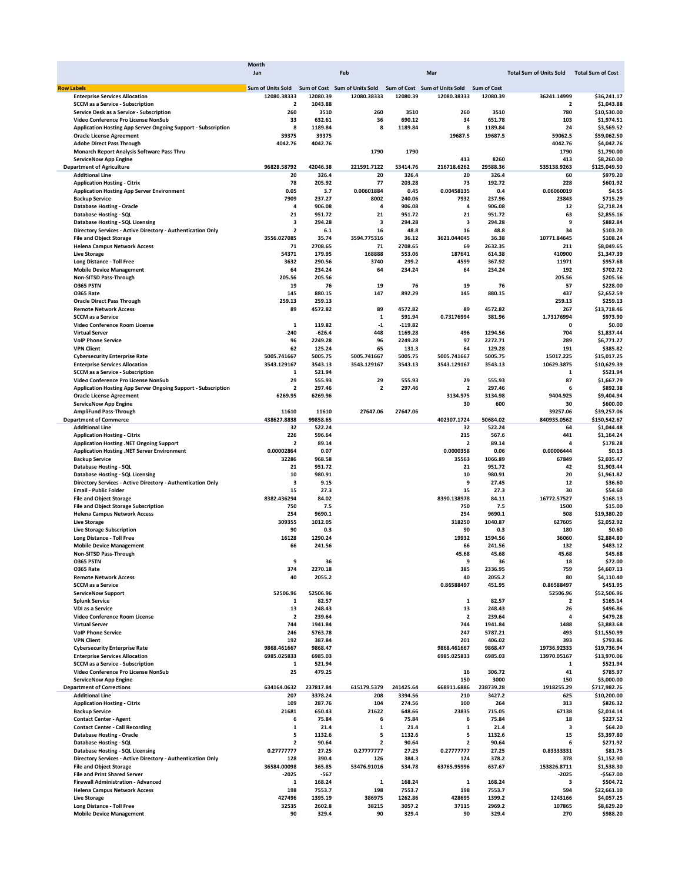|                                                                      | Month                                                                         |           |                         |           |                         |                    |                                |                          |
|----------------------------------------------------------------------|-------------------------------------------------------------------------------|-----------|-------------------------|-----------|-------------------------|--------------------|--------------------------------|--------------------------|
|                                                                      | Jan                                                                           |           | Feb                     |           | Mar                     |                    | <b>Total Sum of Units Sold</b> | <b>Total Sum of Cost</b> |
|                                                                      |                                                                               |           |                         |           |                         |                    |                                |                          |
| <b>Row Labels</b>                                                    | Sum of Units Sold Sum of Cost Sum of Units Sold Sum of Cost Sum of Units Sold |           |                         |           |                         | <b>Sum of Cost</b> |                                |                          |
| <b>Enterprise Services Allocation</b>                                | 12080.38333                                                                   | 12080.39  | 12080.38333             | 12080.39  | 12080.38333             | 12080.39           | 36241.14999                    | \$36,241.17              |
| <b>SCCM as a Service - Subscription</b>                              | 2                                                                             | 1043.88   |                         |           |                         |                    | $\overline{\mathbf{2}}$        | \$1,043.88               |
| Service Desk as a Service - Subscription                             | 260                                                                           | 3510      | 260                     | 3510      | 260                     | 3510               | 780                            | \$10,530.00              |
| Video Conference Pro License NonSub                                  | 33                                                                            | 632.61    | 36                      | 690.12    | 34                      | 651.78             | 103                            | \$1,974.51               |
| <b>Application Hosting App Server Ongoing Support - Subscription</b> | 8                                                                             | 1189.84   | 8                       | 1189.84   | 8                       | 1189.84            | 24                             | \$3,569.52               |
| <b>Oracle License Agreement</b>                                      | 39375                                                                         | 39375     |                         |           | 19687.5                 | 19687.5            | 59062.5                        | \$59,062.50              |
|                                                                      | 4042.76                                                                       | 4042.76   |                         |           |                         |                    | 4042.76                        | \$4,042.76               |
| <b>Adobe Direct Pass Through</b>                                     |                                                                               |           |                         |           |                         |                    |                                |                          |
| Monarch Report Analysis Software Pass Thru                           |                                                                               |           | 1790                    | 1790      |                         |                    | 1790                           | \$1,790.00               |
| <b>ServiceNow App Engine</b>                                         |                                                                               |           |                         |           | 413                     | 8260               | 413                            | \$8,260.00               |
| <b>Department of Agriculture</b>                                     | 96828.58792                                                                   | 42046.38  | 221591.7122             | 53414.76  | 216718.6262             | 29588.36           | 535138.9263                    | \$125,049.50             |
| <b>Additional Line</b>                                               | 20                                                                            | 326.4     | 20                      | 326.4     | 20                      | 326.4              | 60                             | \$979.20                 |
| <b>Application Hosting - Citrix</b>                                  | 78                                                                            | 205.92    | 77                      | 203.28    | 73                      | 192.72             | 228                            | \$601.92                 |
| <b>Application Hosting App Server Environment</b>                    | 0.05                                                                          | 3.7       | 0.00601884              | 0.45      | 0.00458135              | 0.4                | 0.06060019                     | \$4.55                   |
|                                                                      |                                                                               |           |                         |           |                         |                    |                                |                          |
| <b>Backup Service</b>                                                | 7909                                                                          | 237.27    | 8002                    | 240.06    | 7932                    | 237.96             | 23843                          | \$715.29                 |
| <b>Database Hosting - Oracle</b>                                     | 4                                                                             | 906.08    | 4                       | 906.08    | 4                       | 906.08             | 12                             | \$2,718.24               |
| Database Hosting - SQL                                               | 21                                                                            | 951.72    | 21                      | 951.72    | 21                      | 951.72             | 63                             | \$2,855.16               |
| Database Hosting - SQL Licensing                                     | 3                                                                             | 294.28    | 3                       | 294.28    | 3                       | 294.28             | 9                              | \$882.84                 |
| Directory Services - Active Directory - Authentication Only          | $\mathbf{2}$                                                                  | 6.1       | 16                      | 48.8      | 16                      | 48.8               | 34                             | \$103.70                 |
| <b>File and Object Storage</b>                                       | 3556.027085                                                                   | 35.74     | 3594.775316             | 36.12     | 3621.044045             | 36.38              | 10771.84645                    | \$108.24                 |
|                                                                      |                                                                               |           |                         |           |                         |                    |                                |                          |
| <b>Helena Campus Network Access</b>                                  | 71                                                                            | 2708.65   | 71                      | 2708.65   | 69                      | 2632.35            | 211                            | \$8,049.65               |
| <b>Live Storage</b>                                                  | 54371                                                                         | 179.95    | 168888                  | 553.06    | 187641                  | 614.38             | 410900                         | \$1,347.39               |
| <b>Long Distance - Toll Free</b>                                     | 3632                                                                          | 290.56    | 3740                    | 299.2     | 4599                    | 367.92             | 11971                          | \$957.68                 |
| <b>Mobile Device Management</b>                                      | 64                                                                            | 234.24    | 64                      | 234.24    | 64                      | 234.24             | 192                            | \$702.72                 |
| Non-SITSD Pass-Through                                               | 205.56                                                                        | 205.56    |                         |           |                         |                    | 205.56                         | \$205.56                 |
|                                                                      |                                                                               |           |                         |           |                         |                    |                                |                          |
| <b>0365 PSTN</b>                                                     | 19                                                                            | 76        | 19                      | 76        | 19                      | 76                 | 57                             | \$228.00                 |
| <b>0365 Rate</b>                                                     | 145                                                                           | 880.15    | 147                     | 892.29    | 145                     | 880.15             | 437                            | \$2,652.59               |
| <b>Oracle Direct Pass Through</b>                                    | 259.13                                                                        | 259.13    |                         |           |                         |                    | 259.13                         | \$259.13                 |
| <b>Remote Network Access</b>                                         | 89                                                                            | 4572.82   | 89                      | 4572.82   | 89                      | 4572.82            | 267                            | \$13,718.46              |
| <b>SCCM as a Service</b>                                             |                                                                               |           | 1                       | 591.94    | 0.73176994              | 381.96             | 1.73176994                     | \$973.90                 |
|                                                                      |                                                                               |           |                         |           |                         |                    |                                |                          |
| Video Conference Room License                                        | 1                                                                             | 119.82    | $-1$                    | $-119.82$ |                         |                    | 0                              | \$0.00                   |
| <b>Virtual Server</b>                                                | $-240$                                                                        | $-626.4$  | 448                     | 1169.28   | 496                     | 1294.56            | 704                            | \$1,837.44               |
| <b>VolP Phone Service</b>                                            | 96                                                                            | 2249.28   | 96                      | 2249.28   | 97                      | 2272.71            | 289                            | \$6,771.27               |
| <b>VPN Client</b>                                                    | 62                                                                            | 125.24    | 65                      | 131.3     | 64                      | 129.28             | 191                            | \$385.82                 |
| <b>Cybersecurity Enterprise Rate</b>                                 | 5005.741667                                                                   | 5005.75   | 5005.741667             | 5005.75   | 5005.741667             | 5005.75            | 15017.225                      | \$15,017.25              |
| <b>Enterprise Services Allocation</b>                                | 3543.129167                                                                   | 3543.13   | 3543.129167             | 3543.13   | 3543.129167             | 3543.13            | 10629.3875                     | \$10,629.39              |
|                                                                      |                                                                               |           |                         |           |                         |                    |                                |                          |
| <b>SCCM as a Service - Subscription</b>                              | 1                                                                             | 521.94    |                         |           |                         |                    | 1                              | \$521.94                 |
| Video Conference Pro License NonSub                                  | 29                                                                            | 555.93    | 29                      | 555.93    | 29                      | 555.93             | 87                             | \$1,667.79               |
| <b>Application Hosting App Server Ongoing Support - Subscription</b> | $\overline{\mathbf{2}}$                                                       | 297.46    | $\overline{\mathbf{2}}$ | 297.46    | 2                       | 297.46             | 6                              | \$892.38                 |
| <b>Oracle License Agreement</b>                                      | 6269.95                                                                       | 6269.96   |                         |           | 3134.975                | 3134.98            | 9404.925                       | \$9,404.94               |
| <b>ServiceNow App Engine</b>                                         |                                                                               |           |                         |           | 30                      | 600                | 30                             | \$600.00                 |
| AmpliFund Pass-Through                                               | 11610                                                                         | 11610     | 27647.06                | 27647.06  |                         |                    | 39257.06                       | \$39,257.06              |
|                                                                      |                                                                               |           |                         |           |                         |                    |                                |                          |
| <b>Department of Commerce</b>                                        | 438627.8838                                                                   | 99858.65  |                         |           | 402307.1724             | 50684.02           | 840935.0562                    | \$150,542.67             |
| <b>Additional Line</b>                                               | 32                                                                            | 522.24    |                         |           | 32                      | 522.24             | 64                             | \$1,044.48               |
| <b>Application Hosting - Citrix</b>                                  | 226                                                                           | 596.64    |                         |           | 215                     | 567.6              | 441                            | \$1,164.24               |
| Application Hosting .NET Ongoing Support                             | $\mathbf{2}$                                                                  | 89.14     |                         |           | $\overline{\mathbf{2}}$ | 89.14              | 4                              | \$178.28                 |
| Application Hosting .NET Server Environment                          | 0.00002864                                                                    | 0.07      |                         |           | 0.0000358               | 0.06               | 0.00006444                     | \$0.13                   |
|                                                                      |                                                                               |           |                         |           |                         |                    |                                |                          |
| <b>Backup Service</b>                                                | 32286                                                                         | 968.58    |                         |           | 35563                   | 1066.89            | 67849                          | \$2,035.47               |
| <b>Database Hosting - SQL</b>                                        | 21                                                                            | 951.72    |                         |           | 21                      | 951.72             | 42                             | \$1,903.44               |
| Database Hosting - SQL Licensing                                     | 10                                                                            | 980.91    |                         |           | 10                      | 980.91             | 20                             | \$1,961.82               |
| Directory Services - Active Directory - Authentication Only          | 3                                                                             | 9.15      |                         |           | 9                       | 27.45              | 12                             | \$36.60                  |
| <b>Email - Public Folder</b>                                         | 15                                                                            | 27.3      |                         |           | 15                      | 27.3               | 30                             | \$54.60                  |
| <b>File and Object Storage</b>                                       | 8382.436294                                                                   | 84.02     |                         |           | 8390.138978             | 84.11              | 16772.57527                    | \$168.13                 |
|                                                                      |                                                                               |           |                         |           |                         |                    |                                |                          |
| <b>File and Object Storage Subscription</b>                          | 750                                                                           | 7.5       |                         |           | 750                     | 7.5                | 1500                           | \$15.00                  |
| <b>Helena Campus Network Access</b>                                  | 254                                                                           | 9690.1    |                         |           | 254                     | 9690.1             | 508                            | \$19,380.20              |
| <b>Live Storage</b>                                                  | 309355                                                                        | 1012.05   |                         |           | 318250                  | 1040.87            | 627605                         | \$2,052.92               |
| <b>Live Storage Subscription</b>                                     | 90                                                                            | 0.3       |                         |           | 90                      | 0.3                | 180                            | \$0.60                   |
| <b>Long Distance - Toll Free</b>                                     | 16128                                                                         | 1290.24   |                         |           | 19932                   | 1594.56            | 36060                          | \$2,884.80               |
|                                                                      |                                                                               |           |                         |           |                         |                    |                                |                          |
| <b>Mobile Device Management</b>                                      | 66                                                                            | 241.56    |                         |           | 66                      | 241.56             | 132                            | \$483.12                 |
| Non-SITSD Pass-Through                                               |                                                                               |           |                         |           | 45.68                   | 45.68              | 45.68                          | \$45.68                  |
| <b>O365 PSTN</b>                                                     | q                                                                             | 36        |                         |           | q                       | 36                 | 18                             | \$72.00                  |
| <b>0365 Rate</b>                                                     | 374                                                                           | 2270.18   |                         |           | 385                     | 2336.95            | 759                            | \$4,607.13               |
| <b>Remote Network Access</b>                                         | 40                                                                            | 2055.2    |                         |           | 40                      | 2055.2             | 80                             | \$4,110.40               |
| <b>SCCM</b> as a Service                                             |                                                                               |           |                         |           | 0.86588497              | 451.95             | 0.86588497                     | \$451.95                 |
|                                                                      |                                                                               |           |                         |           |                         |                    |                                |                          |
| <b>ServiceNow Support</b>                                            | 52506.96                                                                      | 52506.96  |                         |           |                         |                    | 52506.96                       | \$52,506.96              |
| <b>Splunk Service</b>                                                | 1                                                                             | 82.57     |                         |           | 1                       | 82.57              | 2                              | \$165.14                 |
| VDI as a Service                                                     | 13                                                                            | 248.43    |                         |           | 13                      | 248.43             | 26                             | \$496.86                 |
| Video Conference Room License                                        | $\overline{\mathbf{2}}$                                                       | 239.64    |                         |           | $\overline{\mathbf{2}}$ | 239.64             | 4                              | \$479.28                 |
| <b>Virtual Server</b>                                                | 744                                                                           | 1941.84   |                         |           | 744                     | 1941.84            | 1488                           | \$3,883.68               |
| <b>VolP Phone Service</b>                                            | 246                                                                           | 5763.78   |                         |           | 247                     | 5787.21            | 493                            | \$11,550.99              |
|                                                                      |                                                                               |           |                         |           |                         |                    |                                |                          |
| <b>VPN Client</b>                                                    | 192                                                                           | 387.84    |                         |           | 201                     | 406.02             | 393                            | \$793.86                 |
| <b>Cybersecurity Enterprise Rate</b>                                 | 9868.461667                                                                   | 9868.47   |                         |           | 9868.461667             | 9868.47            | 19736.92333                    | \$19,736.94              |
| <b>Enterprise Services Allocation</b>                                | 6985.025833                                                                   | 6985.03   |                         |           | 6985.025833             | 6985.03            | 13970.05167                    | \$13,970.06              |
| <b>SCCM as a Service - Subscription</b>                              | 1                                                                             | 521.94    |                         |           |                         |                    | 1                              | \$521.94                 |
| Video Conference Pro License NonSub                                  | 25                                                                            | 479.25    |                         |           | 16                      | 306.72             | 41                             | \$785.97                 |
|                                                                      |                                                                               |           |                         |           | 150                     | 3000               |                                |                          |
| <b>ServiceNow App Engine</b>                                         |                                                                               |           |                         |           |                         |                    | 150                            | \$3,000.00               |
| <b>Department of Corrections</b>                                     | 634164.0632                                                                   | 237817.84 | 615179.5379             | 241425.64 | 668911.6886             | 238739.28          | 1918255.29                     | \$717,982.76             |
| <b>Additional Line</b>                                               | 207                                                                           | 3378.24   | 208                     | 3394.56   | 210                     | 3427.2             | 625                            | \$10,200.00              |
| <b>Application Hosting - Citrix</b>                                  | 109                                                                           | 287.76    | 104                     | 274.56    | 100                     | 264                | 313                            | \$826.32                 |
| <b>Backup Service</b>                                                | 21681                                                                         | 650.43    | 21622                   | 648.66    | 23835                   | 715.05             | 67138                          | \$2,014.14               |
| <b>Contact Center - Agent</b>                                        | 6                                                                             | 75.84     | 6                       | 75.84     | 6                       | 75.84              | 18                             | \$227.52                 |
|                                                                      |                                                                               |           |                         |           |                         |                    |                                |                          |
| <b>Contact Center - Call Recording</b>                               | $\mathbf 1$                                                                   | 21.4      | 1                       | 21.4      | 1                       | 21.4               | 3                              | \$64.20                  |
| <b>Database Hosting - Oracle</b>                                     | 5                                                                             | 1132.6    | 5                       | 1132.6    | 5                       | 1132.6             | 15                             | \$3,397.80               |
| <b>Database Hosting - SQL</b>                                        | $\mathbf{2}$                                                                  | 90.64     | $\overline{\mathbf{2}}$ | 90.64     | 2                       | 90.64              | 6                              | \$271.92                 |
| Database Hosting - SQL Licensing                                     | 0.27777777                                                                    | 27.25     | 0.27777777              | 27.25     | 0.27777777              | 27.25              | 0.83333331                     | \$81.75                  |
| Directory Services - Active Directory - Authentication Only          | 128                                                                           | 390.4     | 126                     | 384.3     | 124                     | 378.2              | 378                            | \$1,152.90               |
|                                                                      |                                                                               |           |                         |           |                         |                    |                                |                          |
| <b>File and Object Storage</b>                                       | 36584.00098                                                                   | 365.85    | 53476.91016             | 534.78    | 63765.95996             | 637.67             | 153826.8711                    | \$1,538.30               |
| <b>File and Print Shared Server</b>                                  | $-2025$                                                                       | -567      |                         |           |                         |                    | $-2025$                        | -\$567.00                |
| Firewall Administration - Advanced                                   | 1                                                                             | 168.24    | 1                       | 168.24    | 1                       | 168.24             | 3                              | \$504.72                 |
| <b>Helena Campus Network Access</b>                                  | 198                                                                           | 7553.7    | 198                     | 7553.7    | 198                     | 7553.7             | 594                            | \$22,661.10              |
| <b>Live Storage</b>                                                  | 427496                                                                        | 1395.19   | 386975                  | 1262.86   | 428695                  | 1399.2             | 1243166                        | \$4,057.25               |
| <b>Long Distance - Toll Free</b>                                     | 32535                                                                         | 2602.8    | 38215                   | 3057.2    | 37115                   | 2969.2             | 107865                         | \$8,629.20               |
|                                                                      |                                                                               |           |                         |           |                         |                    |                                |                          |
| <b>Mobile Device Management</b>                                      | 90                                                                            | 329.4     | 90                      | 329.4     | 90                      | 329.4              | 270                            | \$988.20                 |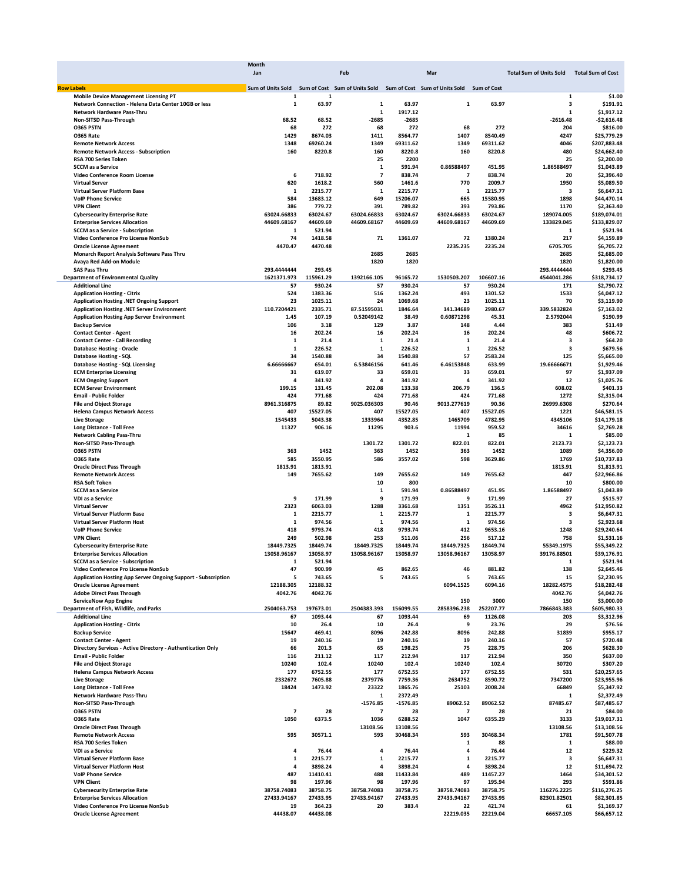|                                                                         | Month                                                                                     |           |                |            |                          |           |                                           |              |
|-------------------------------------------------------------------------|-------------------------------------------------------------------------------------------|-----------|----------------|------------|--------------------------|-----------|-------------------------------------------|--------------|
|                                                                         | Jan                                                                                       |           | Feb            |            | Mar                      |           | Total Sum of Units Sold Total Sum of Cost |              |
|                                                                         |                                                                                           |           |                |            |                          |           |                                           |              |
| <b>Row Labels</b>                                                       | Sum of Units Sold Sum of Cost Sum of Units Sold Sum of Cost Sum of Units Sold Sum of Cost |           |                |            |                          |           |                                           |              |
| <b>Mobile Device Management Licensing PT</b>                            | 1                                                                                         | 1         |                |            |                          |           | $\mathbf{1}$                              | \$1.00       |
| Network Connection - Helena Data Center 10GB or less                    | 1                                                                                         | 63.97     | 1              | 63.97      | 1                        | 63.97     | з                                         | \$191.91     |
| Network Hardware Pass-Thru                                              |                                                                                           |           | 1              | 1917.12    |                          |           | $\mathbf{1}$                              | \$1,917.12   |
| Non-SITSD Pass-Through                                                  | 68.52                                                                                     | 68.52     | $-2685$        | $-2685$    |                          |           | $-2616.48$                                | $-$2,616.48$ |
| <b>0365 PSTN</b>                                                        | 68                                                                                        | 272       | 68             | 272        | 68                       | 272       | 204                                       | \$816.00     |
| <b>0365 Rate</b>                                                        | 1429                                                                                      | 8674.03   | 1411           | 8564.77    | 1407                     | 8540.49   | 4247                                      | \$25,779.29  |
| <b>Remote Network Access</b>                                            | 1348                                                                                      | 69260.24  | 1349           | 69311.62   | 1349                     | 69311.62  | 4046                                      | \$207,883.48 |
| <b>Remote Network Access - Subscription</b>                             | 160                                                                                       | 8220.8    | 160            | 8220.8     | 160                      | 8220.8    | 480                                       | \$24,662.40  |
| RSA 700 Series Token                                                    |                                                                                           |           | 25             | 2200       |                          |           | 25                                        | \$2,200.00   |
| <b>SCCM</b> as a Service                                                |                                                                                           |           | 1              | 591.94     | 0.86588497               | 451.95    | 1.86588497                                | \$1,043.89   |
| Video Conference Room License                                           | 6                                                                                         | 718.92    | $\overline{7}$ | 838.74     | $\overline{\phantom{a}}$ | 838.74    | 20                                        | \$2,396.40   |
| <b>Virtual Server</b>                                                   | 620                                                                                       | 1618.2    | 560            | 1461.6     | 770                      | 2009.7    | 1950                                      | \$5,089.50   |
| <b>Virtual Server Platform Base</b>                                     | 1                                                                                         | 2215.77   | 1              | 2215.77    | 1                        | 2215.77   | з                                         | \$6,647.31   |
| <b>VolP Phone Service</b>                                               | 584                                                                                       | 13683.12  | 649            | 15206.07   | 665                      | 15580.95  | 1898                                      | \$44,470.14  |
| <b>VPN Client</b>                                                       | 386                                                                                       | 779.72    | 391            | 789.82     | 393                      | 793.86    | 1170                                      | \$2,363.40   |
| <b>Cybersecurity Enterprise Rate</b>                                    | 63024.66833                                                                               | 63024.67  | 63024.66833    | 63024.67   | 63024.66833              | 63024.67  | 189074.005                                | \$189,074.01 |
| <b>Enterprise Services Allocation</b>                                   | 44609.68167                                                                               | 44609.69  | 44609.68167    | 44609.69   | 44609.68167              | 44609.69  | 133829.045                                | \$133,829.07 |
| <b>SCCM as a Service - Subscription</b>                                 | 1                                                                                         | 521.94    |                |            |                          |           | 1                                         | \$521.94     |
| Video Conference Pro License NonSub                                     | 74                                                                                        |           | 71             | 1361.07    | 72                       |           | 217                                       | \$4,159.89   |
|                                                                         |                                                                                           | 1418.58   |                |            |                          | 1380.24   |                                           |              |
| <b>Oracle License Agreement</b>                                         | 4470.47                                                                                   | 4470.48   |                |            | 2235.235                 | 2235.24   | 6705.705                                  | \$6,705.72   |
| Monarch Report Analysis Software Pass Thru                              |                                                                                           |           | 2685           | 2685       |                          |           | 2685                                      | \$2,685.00   |
| Avaya Red Add-on Module                                                 |                                                                                           |           | 1820           | 1820       |                          |           | 1820                                      | \$1,820.00   |
| <b>SAS Pass Thru</b>                                                    | 293.4444444                                                                               | 293.45    |                |            |                          |           | 293.4444444                               | \$293.45     |
| <b>Department of Environmental Quality</b>                              | 1621371.973                                                                               | 115961.29 | 1392166.105    | 96165.72   | 1530503.207              | 106607.16 | 4544041.286                               | \$318,734.17 |
| <b>Additional Line</b>                                                  | 57                                                                                        | 930.24    | 57             | 930.24     | 57                       | 930.24    | 171                                       | \$2,790.72   |
| <b>Application Hosting - Citrix</b>                                     | 524                                                                                       | 1383.36   | 516            | 1362.24    | 493                      | 1301.52   | 1533                                      | \$4,047.12   |
| Application Hosting .NET Ongoing Support                                | 23                                                                                        | 1025.11   | 24             | 1069.68    | 23                       | 1025.11   | 70                                        | \$3,119.90   |
| <b>Application Hosting .NET Server Environment</b>                      | 110.7204421                                                                               | 2335.71   | 87.51595031    | 1846.64    | 141.34689                | 2980.67   | 339.5832824                               | \$7,163.02   |
| <b>Application Hosting App Server Environment</b>                       | 1.45                                                                                      | 107.19    | 0.52049142     | 38.49      | 0.60871298               | 45.31     | 2.5792044                                 | \$190.99     |
| <b>Backup Service</b>                                                   | 106                                                                                       | 3.18      | 129            | 3.87       | 148                      | 4.44      | 383                                       | \$11.49      |
| <b>Contact Center - Agent</b>                                           | 16                                                                                        | 202.24    | 16             | 202.24     | 16                       | 202.24    | 48                                        | \$606.72     |
| <b>Contact Center - Call Recording</b>                                  | 1                                                                                         | 21.4      | 1              | 21.4       | 1                        | 21.4      | 3                                         | \$64.20      |
| <b>Database Hosting - Oracle</b>                                        | 1                                                                                         | 226.52    | 1              | 226.52     | $\mathbf 1$              | 226.52    | 3                                         | \$679.56     |
|                                                                         | 34                                                                                        | 1540.88   | 34             | 1540.88    | 57                       | 2583.24   | 125                                       |              |
| <b>Database Hosting - SQL</b>                                           | 6.66666667                                                                                |           |                |            |                          |           |                                           | \$5,665.00   |
| Database Hosting - SQL Licensing                                        |                                                                                           | 654.01    | 6.53846156     | 641.46     | 6.46153848               | 633.99    | 19.66666671                               | \$1,929.46   |
| <b>ECM Enterprise Licensing</b>                                         | 31                                                                                        | 619.07    | 33             | 659.01     | 33                       | 659.01    | 97                                        | \$1,937.09   |
| <b>ECM Ongoing Support</b>                                              | 4                                                                                         | 341.92    | 4              | 341.92     | 4                        | 341.92    | 12                                        | \$1,025.76   |
| <b>ECM Server Environment</b>                                           | 199.15                                                                                    | 131.45    | 202.08         | 133.38     | 206.79                   | 136.5     | 608.02                                    | \$401.33     |
| <b>Email - Public Folder</b>                                            | 424                                                                                       | 771.68    | 424            | 771.68     | 424                      | 771.68    | 1272                                      | \$2,315.04   |
| <b>File and Object Storage</b>                                          | 8961.316875                                                                               | 89.82     | 9025.036303    | 90.46      | 9013.277619              | 90.36     | 26999.6308                                | \$270.64     |
| <b>Helena Campus Network Access</b>                                     | 407                                                                                       | 15527.05  | 407            | 15527.05   | 407                      | 15527.05  | 1221                                      | \$46,581.15  |
| <b>Live Storage</b>                                                     | 1545433                                                                                   | 5043.38   | 1333964        | 4352.85    | 1465709                  | 4782.95   | 4345106                                   | \$14,179.18  |
| <b>Long Distance - Toll Free</b>                                        | 11327                                                                                     | 906.16    | 11295          | 903.6      | 11994                    | 959.52    | 34616                                     | \$2,769.28   |
| <b>Network Cabling Pass-Thru</b>                                        |                                                                                           |           |                |            | 1                        | 85        | $\mathbf{1}$                              | \$85.00      |
| Non-SITSD Pass-Through                                                  |                                                                                           |           | 1301.72        | 1301.72    | 822.01                   | 822.01    | 2123.73                                   | \$2,123.73   |
| O365 PSTN                                                               | 363                                                                                       | 1452      | 363            | 1452       | 363                      | 1452      | 1089                                      | \$4,356.00   |
| <b>0365 Rate</b>                                                        | 585                                                                                       | 3550.95   | 586            | 3557.02    | 598                      | 3629.86   | 1769                                      | \$10,737.83  |
| <b>Oracle Direct Pass Through</b>                                       | 1813.91                                                                                   | 1813.91   |                |            |                          |           | 1813.91                                   | \$1,813.91   |
|                                                                         |                                                                                           |           |                |            |                          |           |                                           |              |
| <b>Remote Network Access</b>                                            | 149                                                                                       | 7655.62   | 149            | 7655.62    | 149                      | 7655.62   | 447                                       | \$22,966.86  |
| <b>RSA Soft Token</b>                                                   |                                                                                           |           | 10             | 800        |                          |           | 10                                        | \$800.00     |
| <b>SCCM</b> as a Service                                                |                                                                                           |           | 1              | 591.94     | 0.86588497               | 451.95    | 1.86588497                                | \$1,043.89   |
| VDI as a Service                                                        | 9                                                                                         | 171.99    | 9              | 171.99     | 9                        | 171.99    | 27                                        | \$515.97     |
| <b>Virtual Server</b>                                                   | 2323                                                                                      | 6063.03   | 1288           | 3361.68    | 1351                     | 3526.11   | 4962                                      | \$12,950.82  |
| Virtual Server Platform Base                                            | 1                                                                                         | 2215.77   | 1              | 2215.77    | 1                        | 2215.77   | 3                                         | \$6,647.31   |
| <b>Virtual Server Platform Host</b>                                     | 1                                                                                         | 974.56    | $\mathbf{1}$   | 974.56     | $\mathbf{1}$             | 974.56    | 3                                         | \$2,923.68   |
| <b>VolP Phone Service</b>                                               | 418                                                                                       | 9793.74   | 418            | 9793.74    | 412                      | 9653.16   | 1248                                      | \$29,240.64  |
| <b>VPN Client</b>                                                       | 249                                                                                       | 502.98    | 253            | 511.06     | 256                      | 517.12    | 758                                       | \$1,531.16   |
| <b>Cybersecurity Enterprise Rate</b>                                    | 18449.7325                                                                                | 18449.74  | 18449.7325     | 18449.74   | 18449.7325               | 18449.74  | 55349.1975                                | \$55,349.22  |
| <b>Enterprise Services Allocation</b>                                   | 13058.96167                                                                               | 13058.97  | 13058.96167    | 13058.97   | 13058.96167              | 13058.97  | 39176.88501                               | \$39,176.91  |
| <b>SCCM as a Service - Subscription</b>                                 |                                                                                           | 521.94    |                |            |                          |           |                                           | \$521.94     |
| Video Conference Pro License NonSub                                     | 47                                                                                        | 900.99    | 45             | 862.65     | 46                       | 881.82    | 138                                       | \$2,645.46   |
| Application Hosting App Server Ongoing Support - Subscription           | 5                                                                                         | 743.65    | 5              | 743.65     | 5                        | 743.65    | 15                                        | \$2,230.95   |
| <b>Oracle License Agreement</b>                                         | 12188.305                                                                                 | 12188.32  |                |            | 6094.1525                | 6094.16   | 18282.4575                                | \$18,282.48  |
| <b>Adobe Direct Pass Through</b>                                        | 4042.76                                                                                   | 4042.76   |                |            |                          |           | 4042.76                                   | \$4,042.76   |
|                                                                         |                                                                                           |           |                |            |                          |           |                                           |              |
| <b>ServiceNow App Engine</b><br>Department of Fish, Wildlife, and Parks |                                                                                           |           |                | 156099.55  | 150                      | 3000      | 150<br>7866843.383                        | \$3,000.00   |
|                                                                         | 2504063.753                                                                               | 197673.01 | 2504383.393    |            | 2858396.238              | 252207.77 |                                           | \$605,980.33 |
| <b>Additional Line</b>                                                  | 67                                                                                        | 1093.44   | 67             | 1093.44    | 69                       | 1126.08   | 203                                       | \$3,312.96   |
| <b>Application Hosting - Citrix</b>                                     | 10                                                                                        | 26.4      | 10             | 26.4       | 9                        | 23.76     | 29                                        | \$76.56      |
| <b>Backup Service</b>                                                   | 15647                                                                                     | 469.41    | 8096           | 242.88     | 8096                     | 242.88    | 31839                                     | \$955.17     |
| <b>Contact Center - Agent</b>                                           | 19                                                                                        | 240.16    | 19             | 240.16     | 19                       | 240.16    | 57                                        | \$720.48     |
| Directory Services - Active Directory - Authentication Only             | 66                                                                                        | 201.3     | 65             | 198.25     | 75                       | 228.75    | 206                                       | \$628.30     |
| <b>Email - Public Folder</b>                                            | 116                                                                                       | 211.12    | 117            | 212.94     | 117                      | 212.94    | 350                                       | \$637.00     |
| <b>File and Object Storage</b>                                          | 10240                                                                                     | 102.4     | 10240          | 102.4      | 10240                    | 102.4     | 30720                                     | \$307.20     |
| <b>Helena Campus Network Access</b>                                     | 177                                                                                       | 6752.55   | 177            | 6752.55    | 177                      | 6752.55   | 531                                       | \$20,257.65  |
| <b>Live Storage</b>                                                     | 2332672                                                                                   | 7605.88   | 2379776        | 7759.36    | 2634752                  | 8590.72   | 7347200                                   | \$23,955.96  |
| <b>Long Distance - Toll Free</b>                                        | 18424                                                                                     | 1473.92   | 23322          | 1865.76    | 25103                    | 2008.24   | 66849                                     | \$5,347.92   |
| <b>Network Hardware Pass-Thru</b>                                       |                                                                                           |           | 1              | 2372.49    |                          |           | 1                                         | \$2,372.49   |
| Non-SITSD Pass-Through                                                  |                                                                                           |           | $-1576.85$     | $-1576.85$ | 89062.52                 | 89062.52  | 87485.67                                  | \$87,485.67  |
| O365 PSTN                                                               | 7                                                                                         | 28        | 7              |            | $\overline{\mathbf{z}}$  |           | 21                                        |              |
|                                                                         |                                                                                           |           |                | 28         |                          | 28        |                                           | \$84.00      |
| <b>0365 Rate</b>                                                        | 1050                                                                                      | 6373.5    | 1036           | 6288.52    | 1047                     | 6355.29   | 3133                                      | \$19,017.31  |
| <b>Oracle Direct Pass Through</b>                                       |                                                                                           |           | 13108.56       | 13108.56   |                          |           | 13108.56                                  | \$13,108.56  |
| <b>Remote Network Access</b>                                            | 595                                                                                       | 30571.1   | 593            | 30468.34   | 593                      | 30468.34  | 1781                                      | \$91,507.78  |
| RSA 700 Series Token                                                    |                                                                                           |           |                |            | 1                        | 88        | 1                                         | \$88.00      |
| VDI as a Service                                                        | 4                                                                                         | 76.44     | 4              | 76.44      | 4                        | 76.44     | 12                                        | \$229.32     |
| Virtual Server Platform Base                                            | 1                                                                                         | 2215.77   | 1              | 2215.77    | 1                        | 2215.77   | 3                                         | \$6,647.31   |
| <b>Virtual Server Platform Host</b>                                     | 4                                                                                         | 3898.24   | 4              | 3898.24    | 4                        | 3898.24   | 12                                        | \$11,694.72  |
| <b>VolP Phone Service</b>                                               | 487                                                                                       | 11410.41  | 488            | 11433.84   | 489                      | 11457.27  | 1464                                      | \$34,301.52  |
| <b>VPN Client</b>                                                       | 98                                                                                        | 197.96    | 98             | 197.96     | 97                       | 195.94    | 293                                       | \$591.86     |
| <b>Cybersecurity Enterprise Rate</b>                                    | 38758.74083                                                                               | 38758.75  | 38758.74083    | 38758.75   | 38758.74083              | 38758.75  | 116276.2225                               | \$116,276.25 |
| <b>Enterprise Services Allocation</b>                                   | 27433.94167                                                                               | 27433.95  | 27433.94167    | 27433.95   | 27433.94167              | 27433.95  | 82301.82501                               | \$82,301.85  |
| Video Conference Pro License NonSub                                     | 19                                                                                        | 364.23    | 20             | 383.4      | 22                       | 421.74    | 61                                        | \$1,169.37   |
| <b>Oracle License Agreement</b>                                         | 44438.07                                                                                  | 44438.08  |                |            | 22219.035                | 22219.04  | 66657.105                                 | \$66,657.12  |
|                                                                         |                                                                                           |           |                |            |                          |           |                                           |              |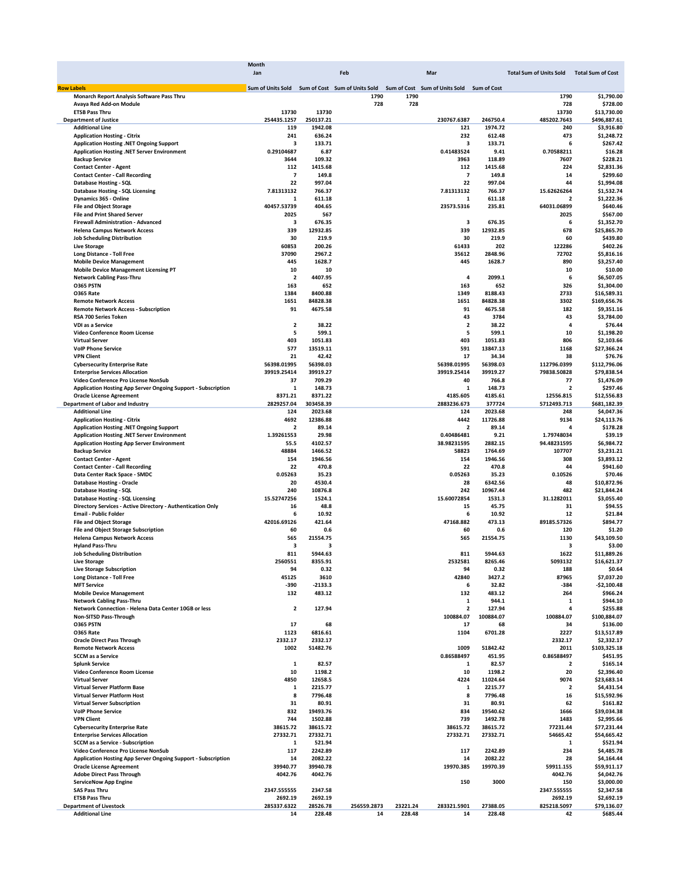|                                                                      | Month                                           |                      |             |          |                                           |           |                                |                            |
|----------------------------------------------------------------------|-------------------------------------------------|----------------------|-------------|----------|-------------------------------------------|-----------|--------------------------------|----------------------------|
|                                                                      | Jan                                             |                      | Feb         |          | Mar                                       |           | <b>Total Sum of Units Sold</b> | <b>Total Sum of Cost</b>   |
|                                                                      |                                                 |                      |             |          |                                           |           |                                |                            |
| <b>Row Labels</b>                                                    | Sum of Units Sold Sum of Cost Sum of Units Sold |                      |             |          | Sum of Cost Sum of Units Sold Sum of Cost |           |                                |                            |
| Monarch Report Analysis Software Pass Thru                           |                                                 |                      | 1790        | 1790     |                                           |           | 1790                           | \$1,790.00                 |
| Avaya Red Add-on Module                                              |                                                 |                      | 728         | 728      |                                           |           | 728                            | \$728.00                   |
| <b>ETSB Pass Thru</b>                                                | 13730<br>254435.1257                            | 13730                |             |          | 230767.6387                               | 246750.4  | 13730<br>485202.7643           | \$13,730.00                |
| <b>Department of Justice</b><br><b>Additional Line</b>               | 119                                             | 250137.21<br>1942.08 |             |          | 121                                       | 1974.72   | 240                            | \$496,887.61<br>\$3,916.80 |
| <b>Application Hosting - Citrix</b>                                  | 241                                             | 636.24               |             |          | 232                                       | 612.48    | 473                            | \$1,248.72                 |
| Application Hosting .NET Ongoing Support                             | з                                               | 133.71               |             |          | з                                         | 133.71    | 6                              | \$267.42                   |
| Application Hosting .NET Server Environment                          | 0.29104687                                      | 6.87                 |             |          | 0.41483524                                | 9.41      | 0.70588211                     | \$16.28                    |
|                                                                      | 3644                                            | 109.32               |             |          | 3963                                      | 118.89    | 7607                           | \$228.21                   |
| <b>Backup Service</b>                                                |                                                 |                      |             |          |                                           | 1415.68   | 224                            |                            |
| <b>Contact Center - Agent</b>                                        | 112                                             | 1415.68              |             |          | 112<br>$\overline{\phantom{a}}$           |           |                                | \$2,831.36                 |
| <b>Contact Center - Call Recording</b>                               | $\overline{\phantom{a}}$<br>22                  | 149.8                |             |          |                                           | 149.8     | 14<br>44                       | \$299.60                   |
| Database Hosting - SQL                                               |                                                 | 997.04               |             |          | 22                                        | 997.04    |                                | \$1,994.08                 |
| Database Hosting - SQL Licensing                                     | 7.81313132                                      | 766.37               |             |          | 7.81313132                                | 766.37    | 15.62626264                    | \$1,532.74                 |
| Dynamics 365 - Online                                                | 1                                               | 611.18               |             |          | 1                                         | 611.18    | 2                              | \$1,222.36                 |
| <b>File and Object Storage</b>                                       | 40457.53739                                     | 404.65               |             |          | 23573.5316                                | 235.81    | 64031.06899                    | \$640.46                   |
| <b>File and Print Shared Server</b>                                  | 2025                                            | 567                  |             |          |                                           |           | 2025                           | \$567.00                   |
| <b>Firewall Administration - Advanced</b>                            | 3                                               | 676.35               |             |          | з                                         | 676.35    | 6                              | \$1.352.70                 |
| <b>Helena Campus Network Access</b>                                  | 339                                             | 12932.85             |             |          | 339                                       | 12932.85  | 678                            | \$25,865.70                |
| <b>Job Scheduling Distribution</b>                                   | 30                                              | 219.9                |             |          | 30                                        | 219.9     | 60                             | \$439.80                   |
| <b>Live Storage</b>                                                  | 60853                                           | 200.26               |             |          | 61433                                     | 202       | 122286                         | \$402.26                   |
| <b>Long Distance - Toll Free</b>                                     | 37090                                           | 2967.2               |             |          | 35612                                     | 2848.96   | 72702                          | \$5,816.16                 |
| <b>Mobile Device Management</b>                                      | 445                                             | 1628.7               |             |          | 445                                       | 1628.7    | 890                            | \$3,257.40                 |
| <b>Mobile Device Management Licensing PT</b>                         | 10                                              | 10                   |             |          |                                           |           | 10                             | \$10.00                    |
| <b>Network Cabling Pass-Thru</b>                                     | 2                                               | 4407.95              |             |          | 4                                         | 2099.1    | 6                              | \$6,507.05                 |
| <b>0365 PSTN</b>                                                     | 163                                             | 652                  |             |          | 163                                       | 652       | 326                            | \$1,304.00                 |
| O365 Rate                                                            | 1384                                            | 8400.88              |             |          | 1349                                      | 8188.43   | 2733                           | \$16,589.31                |
| <b>Remote Network Access</b>                                         | 1651                                            | 84828.38             |             |          | 1651                                      | 84828.38  | 3302                           | \$169,656.76               |
| <b>Remote Network Access - Subscription</b>                          | 91                                              | 4675.58              |             |          | 91                                        | 4675.58   | 182                            | \$9,351.16                 |
| RSA 700 Series Token                                                 |                                                 |                      |             |          | 43                                        | 3784      | 43                             | \$3,784.00                 |
| <b>VDI as a Service</b>                                              | $\overline{\mathbf{2}}$                         | 38.22                |             |          | $\overline{\mathbf{2}}$                   | 38.22     | 4                              | \$76.44                    |
| Video Conference Room License                                        | 5                                               | 599.1                |             |          | 5                                         | 599.1     | 10                             | \$1,198.20                 |
| <b>Virtual Server</b>                                                | 403                                             | 1051.83              |             |          | 403                                       | 1051.83   | 806                            | \$2,103.66                 |
| <b>VolP Phone Service</b>                                            | 577                                             | 13519.11             |             |          | 591                                       | 13847.13  | 1168                           | \$27,366.24                |
| <b>VPN Client</b>                                                    | 21                                              | 42.42                |             |          | 17                                        | 34.34     | 38                             | \$76.76                    |
| <b>Cybersecurity Enterprise Rate</b>                                 | 56398.01995                                     | 56398.03             |             |          | 56398.01995                               | 56398.03  | 112796.0399                    | \$112,796.06               |
| <b>Enterprise Services Allocation</b>                                | 39919.25414                                     | 39919.27             |             |          | 39919.25414                               | 39919.27  | 79838.50828                    | \$79,838.54                |
|                                                                      | 37                                              | 709.29               |             |          | 40                                        | 766.8     | 77                             | \$1,476.09                 |
| Video Conference Pro License NonSub                                  |                                                 |                      |             |          |                                           |           |                                |                            |
| <b>Application Hosting App Server Ongoing Support - Subscription</b> | 1                                               | 148.73               |             |          | 1                                         | 148.73    | 2                              | \$297.46                   |
| <b>Oracle License Agreement</b>                                      | 8371.21                                         | 8371.22              |             |          | 4185.605                                  | 4185.61   | 12556.815                      | \$12,556.83                |
| Department of Labor and Industry                                     | 2829257.04                                      | 303458.39            |             |          | 2883236.673                               | 377724    | 5712493.713                    | \$681,182.39               |
| <b>Additional Line</b>                                               | 124                                             | 2023.68              |             |          | 124                                       | 2023.68   | 248                            | \$4,047.36                 |
| <b>Application Hosting - Citrix</b>                                  | 4692                                            | 12386.88             |             |          | 4442                                      | 11726.88  | 9134                           | \$24,113.76                |
| Application Hosting .NET Ongoing Support                             | $\overline{\mathbf{2}}$                         | 89.14                |             |          | $\overline{\mathbf{2}}$                   | 89.14     | 4                              | \$178.28                   |
| Application Hosting .NET Server Environment                          | 1.39261553                                      | 29.98                |             |          | 0.40486481                                | 9.21      | 1.79748034                     | \$39.19                    |
| <b>Application Hosting App Server Environment</b>                    | 55.5                                            | 4102.57              |             |          | 38.98231595                               | 2882.15   | 94.48231595                    | \$6,984.72                 |
| <b>Backup Service</b>                                                | 48884                                           | 1466.52              |             |          | 58823                                     | 1764.69   | 107707                         | \$3,231.21                 |
| <b>Contact Center - Agent</b>                                        | 154                                             | 1946.56              |             |          | 154                                       | 1946.56   | 308                            | \$3,893.12                 |
| <b>Contact Center - Call Recording</b>                               | 22                                              | 470.8                |             |          | 22                                        | 470.8     | 44                             | \$941.60                   |
| Data Center Rack Space - SMDC                                        | 0.05263                                         | 35.23                |             |          | 0.05263                                   | 35.23     | 0.10526                        | \$70.46                    |
| <b>Database Hosting - Oracle</b>                                     | 20                                              | 4530.4               |             |          | 28                                        | 6342.56   | 48                             | \$10,872.96                |
| Database Hosting - SQL                                               | 240                                             | 10876.8              |             |          | 242                                       | 10967.44  | 482                            | \$21,844.24                |
| Database Hosting - SQL Licensing                                     | 15.52747256                                     | 1524.1               |             |          | 15.60072854                               | 1531.3    | 31.1282011                     | \$3,055.40                 |
| Directory Services - Active Directory - Authentication Only          | 16                                              | 48.8                 |             |          | 15                                        | 45.75     | 31                             | \$94.55                    |
| <b>Email - Public Folder</b>                                         | 6                                               | 10.92                |             |          | 6                                         | 10.92     | 12                             | \$21.84                    |
| <b>File and Object Storage</b>                                       | 42016.69126                                     | 421.64               |             |          | 47168.882                                 | 473.13    | 89185.57326                    | \$894.77                   |
| <b>File and Object Storage Subscription</b>                          | 60                                              | 0.6                  |             |          | 60                                        | 0.6       | 120                            | \$1.20                     |
| <b>Helena Campus Network Access</b>                                  | 565                                             | 21554.75             |             |          | 565                                       | 21554.75  | 1130                           | \$43,109.50                |
| <b>Hyland Pass-Thru</b>                                              | з                                               | 3                    |             |          |                                           |           | з                              | \$3.00                     |
| <b>Job Scheduling Distribution</b>                                   | 811                                             | 5944.63              |             |          | 811                                       | 5944.63   | 1622                           | \$11,889.26                |
| <b>Live Storage</b>                                                  | 2560551                                         | 8355.91              |             |          | 2532581                                   | 8265.46   | 5093132                        | \$16,621.37                |
|                                                                      | 94                                              | 0.32                 |             |          | 94                                        | 0.32      | 188                            | \$0.64                     |
| <b>Live Storage Subscription</b><br><b>Long Distance - Toll Free</b> | 45125                                           | 3610                 |             |          | 42840                                     | 3427.2    | 87965                          | \$7,037.20                 |
| <b>MFT Service</b>                                                   | -390                                            | $-2133.3$            |             |          | 6                                         | 32.82     | -384                           | $-$2,100.48$               |
| <b>Mobile Device Management</b>                                      | 132                                             | 483.12               |             |          | 132                                       | 483.12    | 264                            | \$966.24                   |
| <b>Network Cabling Pass-Thru</b>                                     |                                                 |                      |             |          | 1                                         | 944.1     | 1                              | \$944.10                   |
|                                                                      | $\overline{\mathbf{2}}$                         | 127.94               |             |          | $\overline{\mathbf{2}}$                   | 127.94    | 4                              |                            |
| Network Connection - Helena Data Center 10GB or less                 |                                                 |                      |             |          |                                           | 100884.07 |                                | \$255.88                   |
| Non-SITSD Pass-Through                                               | ${\bf 17}$                                      | 68                   |             |          | 100884.07                                 |           | 100884.07                      | \$100,884.07               |
| O365 PSTN                                                            |                                                 |                      |             |          | 17                                        | 68        | 34                             | \$136.00                   |
| <b>0365 Rate</b>                                                     | 1123                                            | 6816.61              |             |          | 1104                                      | 6701.28   | 2227                           | \$13,517.89                |
| <b>Oracle Direct Pass Through</b>                                    | 2332.17                                         | 2332.17              |             |          |                                           |           | 2332.17                        | \$2,332.17                 |
| <b>Remote Network Access</b>                                         | 1002                                            | 51482.76             |             |          | 1009                                      | 51842.42  | 2011                           | \$103,325.18               |
| <b>SCCM</b> as a Service                                             |                                                 |                      |             |          | 0.86588497                                | 451.95    | 0.86588497                     | \$451.95                   |
| <b>Splunk Service</b>                                                | $\mathbf 1$                                     | 82.57                |             |          | 1                                         | 82.57     | $\overline{\mathbf{2}}$        | \$165.14                   |
| Video Conference Room License                                        | 10                                              | 1198.2               |             |          | 10                                        | 1198.2    | 20                             | \$2,396.40                 |
| <b>Virtual Server</b>                                                | 4850                                            | 12658.5              |             |          | 4224                                      | 11024.64  | 9074                           | \$23,683.14                |
| <b>Virtual Server Platform Base</b>                                  | 1                                               | 2215.77              |             |          | 1                                         | 2215.77   | $\overline{\mathbf{2}}$        | \$4,431.54                 |
| <b>Virtual Server Platform Host</b>                                  | 8                                               | 7796.48              |             |          | 8                                         | 7796.48   | 16                             | \$15,592.96                |
| <b>Virtual Server Subscription</b>                                   | 31                                              | 80.91                |             |          | 31                                        | 80.91     | 62                             | \$161.82                   |
| <b>VolP Phone Service</b>                                            | 832                                             | 19493.76             |             |          | 834                                       | 19540.62  | 1666                           | \$39,034.38                |
| <b>VPN Client</b>                                                    | 744                                             | 1502.88              |             |          | 739                                       | 1492.78   | 1483                           | \$2,995.66                 |
| <b>Cybersecurity Enterprise Rate</b>                                 | 38615.72                                        | 38615.72             |             |          | 38615.72                                  | 38615.72  | 77231.44                       | \$77,231.44                |
| <b>Enterprise Services Allocation</b>                                | 27332.71                                        | 27332.71             |             |          | 27332.71                                  | 27332.71  | 54665.42                       | \$54,665.42                |
| <b>SCCM as a Service - Subscription</b>                              | 1                                               | 521.94               |             |          |                                           |           | 1                              | \$521.94                   |
| Video Conference Pro License NonSub                                  | 117                                             | 2242.89              |             |          | 117                                       | 2242.89   | 234                            | \$4,485.78                 |
| <b>Application Hosting App Server Ongoing Support - Subscription</b> | 14                                              | 2082.22              |             |          | 14                                        | 2082.22   | 28                             | \$4,164.44                 |
| <b>Oracle License Agreement</b>                                      | 39940.77                                        | 39940.78             |             |          | 19970.385                                 | 19970.39  | 59911.155                      | \$59,911.17                |
| <b>Adobe Direct Pass Through</b>                                     | 4042.76                                         | 4042.76              |             |          |                                           |           | 4042.76                        | \$4,042.76                 |
| <b>ServiceNow App Engine</b>                                         |                                                 |                      |             |          | 150                                       | 3000      | 150                            | \$3,000.00                 |
| <b>SAS Pass Thru</b>                                                 | 2347.555555                                     | 2347.58              |             |          |                                           |           | 2347.555555                    | \$2,347.58                 |
| <b>ETSB Pass Thru</b>                                                | 2692.19                                         | 2692.19              |             |          |                                           |           |                                |                            |
|                                                                      |                                                 | 28526.78             |             |          |                                           |           | 2692.19                        | \$2,692.19                 |
| <b>Department of Livestock</b><br><b>Additional Line</b>             | 285337.6322                                     |                      | 256559.2873 | 23221.24 | 283321.5901                               | 27388.05  | 825218.5097                    | \$79,136.07                |
|                                                                      | 14                                              | 228.48               | 14          | 228.48   | 14                                        | 228.48    | 42                             | \$685.44                   |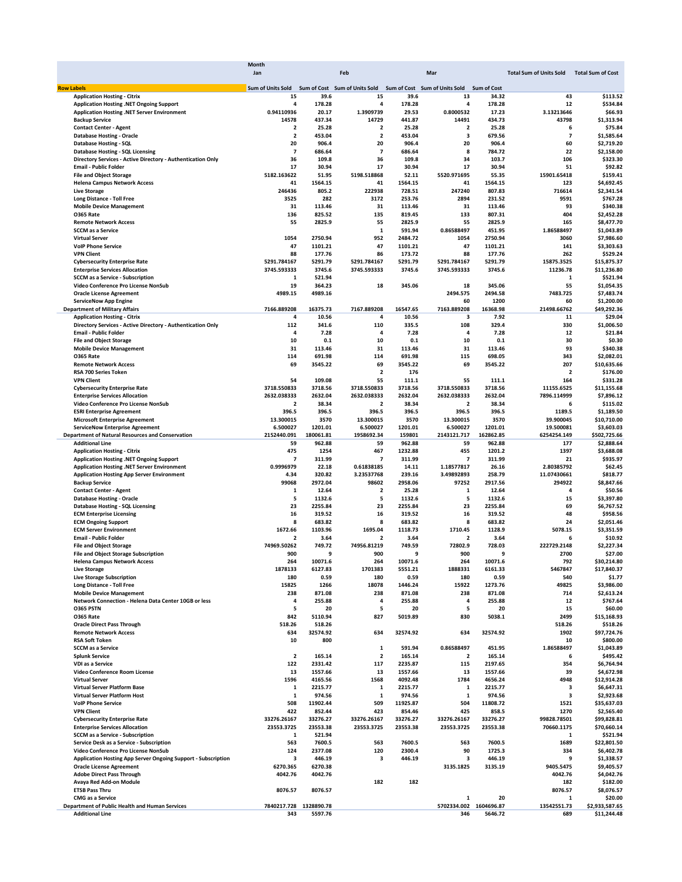|                                                                      | Month                                           |           |                          |          |                               |                    |                                           |                |
|----------------------------------------------------------------------|-------------------------------------------------|-----------|--------------------------|----------|-------------------------------|--------------------|-------------------------------------------|----------------|
|                                                                      | Jan                                             |           | Feb                      |          | Mar                           |                    | Total Sum of Units Sold Total Sum of Cost |                |
| <b>Row Labels</b>                                                    | Sum of Units Sold Sum of Cost Sum of Units Sold |           |                          |          | Sum of Cost Sum of Units Sold | <b>Sum of Cost</b> |                                           |                |
| <b>Application Hosting - Citrix</b>                                  | 15                                              | 39.6      | 15                       | 39.6     | 13                            | 34.32              | 43                                        | \$113.52       |
| Application Hosting .NET Ongoing Support                             | 4                                               | 178.28    | 4                        | 178.28   | 4                             | 178.28             | 12                                        | \$534.84       |
| Application Hosting .NET Server Environment                          | 0.94110936                                      | 20.17     | 1.3909739                | 29.53    | 0.8000532                     | 17.23              | 3.13213646                                | \$66.93        |
| <b>Backup Service</b>                                                | 14578                                           | 437.34    | 14729                    | 441.87   | 14491                         | 434.73             | 43798                                     | \$1,313.94     |
| <b>Contact Center - Agent</b>                                        | $\overline{2}$                                  | 25.28     | $\overline{\mathbf{2}}$  | 25.28    | $\overline{\mathbf{2}}$       | 25.28              | 6                                         | \$75.84        |
| <b>Database Hosting - Oracle</b>                                     | 2                                               | 453.04    | $\overline{\mathbf{2}}$  | 453.04   | 3                             | 679.56             | $\overline{\phantom{a}}$                  | \$1,585.64     |
| <b>Database Hosting - SQL</b>                                        | 20                                              | 906.4     | 20                       | 906.4    | 20                            | 906.4              | 60                                        | \$2,719.20     |
| Database Hosting - SQL Licensing                                     | $\overline{\phantom{a}}$                        | 686.64    | $\overline{\phantom{a}}$ | 686.64   | 8                             | 784.72             | 22                                        | \$2,158.00     |
| Directory Services - Active Directory - Authentication Only          | 36                                              | 109.8     | 36                       | 109.8    | 34                            | 103.7              | 106                                       | \$323.30       |
| <b>Email - Public Folder</b>                                         | 17                                              | 30.94     | 17                       | 30.94    | 17                            | 30.94              | 51                                        | \$92.82        |
| <b>File and Object Storage</b>                                       | 5182.163622                                     | 51.95     | 5198.518868              | 52.11    | 5520.971695                   | 55.35              | 15901.65418                               | \$159.41       |
| <b>Helena Campus Network Access</b>                                  | 41                                              | 1564.15   | 41                       | 1564.15  | 41                            | 1564.15            | 123                                       | \$4,692.45     |
| <b>Live Storage</b>                                                  | 246436                                          | 805.2     | 222938                   | 728.51   | 247240                        | 807.83             | 716614                                    | \$2,341.54     |
| <b>Long Distance - Toll Free</b>                                     | 3525                                            | 282       | 3172                     | 253.76   | 2894                          | 231.52             | 9591                                      | \$767.28       |
| <b>Mobile Device Management</b>                                      | 31                                              | 113.46    | 31                       | 113.46   | 31                            | 113.46             | 93                                        | \$340.38       |
| <b>0365 Rate</b>                                                     | 136                                             | 825.52    | 135                      | 819.45   | 133                           | 807.31             | 404                                       | \$2,452.28     |
| <b>Remote Network Access</b>                                         | 55                                              | 2825.9    | 55                       | 2825.9   | 55                            | 2825.9             | 165                                       | \$8,477.70     |
| <b>SCCM as a Service</b>                                             |                                                 |           | 1                        | 591.94   | 0.86588497                    | 451.95             | 1.86588497                                | \$1,043.89     |
| <b>Virtual Server</b>                                                | 1054                                            | 2750.94   | 952                      | 2484.72  | 1054                          | 2750.94            | 3060                                      | \$7,986.60     |
| <b>VolP Phone Service</b>                                            | 47                                              | 1101.21   | 47                       | 1101.21  | 47                            | 1101.21            | 141                                       | \$3,303.63     |
| <b>VPN Client</b>                                                    | 88                                              | 177.76    | 86                       | 173.72   | 88                            | 177.76             | 262                                       | \$529.24       |
| <b>Cybersecurity Enterprise Rate</b>                                 | 5291.784167                                     | 5291.79   | 5291.784167              | 5291.79  | 5291.784167                   | 5291.79            | 15875.3525                                | \$15,875.37    |
| <b>Enterprise Services Allocation</b>                                | 3745.593333                                     | 3745.6    | 3745.593333              | 3745.6   | 3745.593333                   | 3745.6             | 11236.78                                  | \$11,236.80    |
| <b>SCCM as a Service - Subscription</b>                              | 1                                               | 521.94    |                          |          |                               |                    | 1                                         | \$521.94       |
| Video Conference Pro License NonSub                                  | 19                                              | 364.23    | 18                       | 345.06   | 18                            | 345.06             | 55                                        | \$1,054.35     |
| <b>Oracle License Agreement</b>                                      | 4989.15                                         | 4989.16   |                          |          | 2494.575                      | 2494.58            | 7483.725                                  | \$7,483.74     |
| <b>ServiceNow App Engine</b>                                         |                                                 |           |                          |          | 60                            | 1200               | 60                                        | \$1,200.00     |
| <b>Department of Military Affairs</b>                                | 7166.889208                                     | 16375.73  | 7167.889208              | 16547.65 | 7163.889208                   | 16368.98           | 21498.66762                               | \$49,292.36    |
| <b>Application Hosting - Citrix</b>                                  | 4                                               | 10.56     | 4                        | 10.56    | 3                             | 7.92               | 11                                        | \$29.04        |
| Directory Services - Active Directory - Authentication Only          | 112                                             | 341.6     | 110                      | 335.5    | 108                           | 329.4              | 330                                       | \$1,006.50     |
| <b>Email - Public Folder</b>                                         | 4                                               | 7.28      | 4                        | 7.28     | 4                             | 7.28               | 12                                        | \$21.84        |
| <b>File and Object Storage</b>                                       | 10                                              | 0.1       | 10                       | 0.1      | 10                            | 0.1                | 30                                        | \$0.30         |
| <b>Mobile Device Management</b>                                      | 31                                              | 113.46    | 31                       | 113.46   | 31                            | 113.46             | 93                                        | \$340.38       |
| <b>0365 Rate</b>                                                     | 114                                             | 691.98    | 114                      | 691.98   | 115                           | 698.05             | 343                                       | \$2,082.01     |
| <b>Remote Network Access</b>                                         | 69                                              | 3545.22   | 69                       | 3545.22  | 69                            | 3545.22            | 207                                       | \$10,635.66    |
| RSA 700 Series Token                                                 |                                                 |           | $\overline{\mathbf{2}}$  | 176      |                               |                    | 2                                         | \$176.00       |
| <b>VPN Client</b>                                                    | 54                                              | 109.08    | 55                       | 111.1    | 55                            | 111.1              | 164                                       | \$331.28       |
| <b>Cybersecurity Enterprise Rate</b>                                 | 3718.550833                                     | 3718.56   | 3718.550833              | 3718.56  | 3718.550833                   | 3718.56            | 11155.6525                                | \$11,155.68    |
| <b>Enterprise Services Allocation</b>                                | 2632.038333                                     | 2632.04   | 2632.038333              | 2632.04  | 2632.038333                   | 2632.04            | 7896.114999                               | \$7,896.12     |
| Video Conference Pro License NonSub                                  | 2                                               | 38.34     | 2                        | 38.34    | $\overline{\mathbf{2}}$       | 38.34              | 6                                         | \$115.02       |
| <b>ESRI Enterprise Agreement</b>                                     | 396.5                                           | 396.5     | 396.5                    | 396.5    | 396.5                         | 396.5              | 1189.5                                    | \$1,189.50     |
| <b>Microsoft Enterprise Agreement</b>                                | 13.300015                                       | 3570      | 13.300015                | 3570     | 13.300015                     | 3570               | 39.900045                                 | \$10,710.00    |
| <b>ServiceNow Enterprise Agreement</b>                               | 6.500027                                        | 1201.01   | 6.500027                 | 1201.01  | 6.500027                      | 1201.01            | 19.500081                                 | \$3,603.03     |
| <b>Department of Natural Resources and Conservation</b>              | 2152440.091                                     | 180061.81 | 1958692.34               | 159801   | 2143121.717                   | 162862.85          | 6254254.149                               | \$502,725.66   |
| <b>Additional Line</b>                                               | 59                                              | 962.88    | 59                       | 962.88   | 59                            | 962.88             | 177                                       | \$2,888.64     |
| <b>Application Hosting - Citrix</b>                                  | 475                                             | 1254      | 467                      | 1232.88  | 455                           | 1201.2             | 1397                                      | \$3,688.08     |
| Application Hosting .NET Ongoing Support                             | 7                                               | 311.99    | $\overline{\phantom{a}}$ | 311.99   | $\overline{7}$                | 311.99             | 21                                        | \$935.97       |
| Application Hosting .NET Server Environment                          | 0.9996979                                       | 22.18     | 0.61838185               | 14.11    | 1.18577817                    | 26.16              | 2.80385792                                | \$62.45        |
| <b>Application Hosting App Server Environment</b>                    | 4.34                                            | 320.82    | 3.23537768               | 239.16   | 3.49892893                    | 258.79             | 11.07430661                               | \$818.77       |
| <b>Backup Service</b>                                                | 99068                                           | 2972.04   | 98602                    | 2958.06  | 97252                         | 2917.56            | 294922                                    | \$8,847.66     |
| <b>Contact Center - Agent</b>                                        | 1                                               | 12.64     | $\overline{\mathbf{2}}$  | 25.28    | 1                             | 12.64              | 4                                         | \$50.56        |
| <b>Database Hosting - Oracle</b>                                     | 5                                               | 1132.6    | 5                        | 1132.6   | 5                             | 1132.6             | 15                                        | \$3,397.80     |
| Database Hosting - SQL Licensing                                     | 23                                              | 2255.84   | 23                       | 2255.84  | 23                            | 2255.84            | 69                                        | \$6,767.52     |
| <b>ECM Enterprise Licensing</b>                                      | 16                                              | 319.52    | 16                       | 319.52   | 16                            | 319.52             | 48                                        | \$958.56       |
| <b>ECM Ongoing Support</b>                                           | 8                                               | 683.82    | 8                        | 683.82   | 8                             | 683.82             | 24                                        | \$2,051.46     |
| <b>ECM Server Environment</b>                                        | 1672.66                                         | 1103.96   | 1695.04                  | 1118.73  | 1710.45                       | 1128.9             | 5078.15                                   | \$3,351.59     |
| <b>Email - Public Folder</b>                                         | 2                                               | 3.64      | 2                        | 3.64     | 2                             | 3.64               | 6                                         | \$10.92        |
| <b>File and Object Storage</b>                                       | 74969.50262                                     | 749.72    | 74956.81219              | 749.59   | 72802.9                       | 728.03             | 222729.2148                               | \$2,227.34     |
| <b>File and Object Storage Subscription</b>                          | 900                                             | 9         | 900                      | 9        | 900                           | 9                  | 2700                                      | \$27.00        |
| <b>Helena Campus Network Access</b>                                  | 264                                             | 10071.6   | 264                      | 10071.6  | 264                           | 10071.6            | 792                                       | \$30,214.80    |
| <b>Live Storage</b>                                                  | 1878133                                         | 6127.83   | 1701383                  | 5551.21  | 1888331                       | 6161.33            | 5467847                                   | \$17,840.37    |
| <b>Live Storage Subscription</b>                                     | 180                                             | 0.59      | 180                      | 0.59     | 180                           | 0.59               | 540                                       | \$1.77         |
| <b>Long Distance - Toll Free</b>                                     | 15825                                           | 1266      | 18078                    | 1446.24  | 15922                         | 1273.76            | 49825                                     | \$3,986.00     |
| <b>Mobile Device Management</b>                                      | 238                                             | 871.08    | 238                      | 871.08   | 238                           | 871.08             | 714                                       | \$2,613.24     |
| Network Connection - Helena Data Center 10GB or less                 | 4                                               | 255.88    | 4                        | 255.88   | $\overline{\mathbf{4}}$       | 255.88             | 12                                        | \$767.64       |
| <b>0365 PSTN</b>                                                     | 5                                               | 20        | 5                        | 20       | 5                             | 20                 | 15                                        | \$60.00        |
| <b>0365 Rate</b>                                                     | 842                                             | 5110.94   | 827                      | 5019.89  | 830                           | 5038.1             | 2499                                      | \$15,168.93    |
| <b>Oracle Direct Pass Through</b>                                    | 518.26                                          | 518.26    |                          |          |                               |                    | 518.26                                    | \$518.26       |
| <b>Remote Network Access</b>                                         | 634                                             | 32574.92  | 634                      | 32574.92 | 634                           | 32574.92           | 1902                                      | \$97,724.76    |
| <b>RSA Soft Token</b>                                                | 10                                              | 800       |                          |          |                               |                    | 10                                        | \$800.00       |
| <b>SCCM as a Service</b>                                             |                                                 |           | 1                        | 591.94   | 0.86588497                    | 451.95             | 1.86588497                                | \$1,043.89     |
| <b>Splunk Service</b>                                                | 2                                               | 165.14    | $\overline{\mathbf{2}}$  | 165.14   | $\overline{2}$                | 165.14             | 6                                         | \$495.42       |
| VDI as a Service                                                     | 122                                             | 2331.42   | 117                      | 2235.87  | 115                           | 2197.65            | 354                                       | \$6,764.94     |
| Video Conference Room License                                        | 13                                              | 1557.66   | 13                       | 1557.66  | 13                            | 1557.66            | 39                                        | \$4,672.98     |
| <b>Virtual Server</b>                                                | 1596                                            | 4165.56   | 1568                     | 4092.48  | 1784                          | 4656.24            | 4948                                      | \$12,914.28    |
| Virtual Server Platform Base                                         | 1                                               | 2215.77   | $\mathbf 1$              | 2215.77  | 1                             | 2215.77            | 3                                         | \$6,647.31     |
| <b>Virtual Server Platform Host</b>                                  | 1                                               | 974.56    | 1                        | 974.56   | 1                             | 974.56             | 3                                         | \$2,923.68     |
| <b>VolP Phone Service</b>                                            | 508                                             | 11902.44  | 509                      | 11925.87 | 504                           | 11808.72           | 1521                                      | \$35,637.03    |
| <b>VPN Client</b>                                                    | 422                                             | 852.44    | 423                      | 854.46   | 425                           | 858.5              | 1270                                      | \$2,565.40     |
| <b>Cybersecurity Enterprise Rate</b>                                 | 33276.26167                                     | 33276.27  | 33276.26167              | 33276.27 | 33276.26167                   | 33276.27           | 99828.78501                               | \$99,828.81    |
| <b>Enterprise Services Allocation</b>                                | 23553.3725                                      | 23553.38  | 23553.3725               | 23553.38 | 23553.3725                    | 23553.38           | 70660.1175                                | \$70,660.14    |
| <b>SCCM as a Service - Subscription</b>                              | 1                                               | 521.94    |                          |          |                               |                    | 1                                         | \$521.94       |
| Service Desk as a Service - Subscription                             | 563                                             | 7600.5    | 563                      | 7600.5   | 563                           | 7600.5             | 1689                                      | \$22,801.50    |
| Video Conference Pro License NonSub                                  | 124                                             | 2377.08   | 120                      | 2300.4   | 90                            | 1725.3             | 334                                       | \$6,402.78     |
| <b>Application Hosting App Server Ongoing Support - Subscription</b> | з                                               | 446.19    | 3                        | 446.19   | з                             | 446.19             | 9                                         | \$1,338.57     |
| <b>Oracle License Agreement</b>                                      | 6270.365                                        | 6270.38   |                          |          | 3135.1825                     | 3135.19            | 9405.5475                                 | \$9,405.57     |
| <b>Adobe Direct Pass Through</b>                                     | 4042.76                                         | 4042.76   |                          |          |                               |                    | 4042.76                                   | \$4,042.76     |
| Avaya Red Add-on Module                                              |                                                 |           | 182                      | 182      |                               |                    | 182                                       | \$182.00       |
| <b>ETSB Pass Thru</b>                                                | 8076.57                                         | 8076.57   |                          |          |                               |                    | 8076.57                                   | \$8,076.57     |
| <b>CMG</b> as a Service                                              |                                                 |           |                          |          | 1                             | 20                 | 1                                         | \$20.00        |
| Department of Public Health and Human Services                       | 7840217.728 1328890.78                          |           |                          |          | 5702334.002 1604696.87        |                    | 13542551.73                               | \$2,933,587.65 |
| <b>Additional Line</b>                                               | 343                                             | 5597.76   |                          |          | 346                           | 5646.72            | 689                                       | \$11,244.48    |
|                                                                      |                                                 |           |                          |          |                               |                    |                                           |                |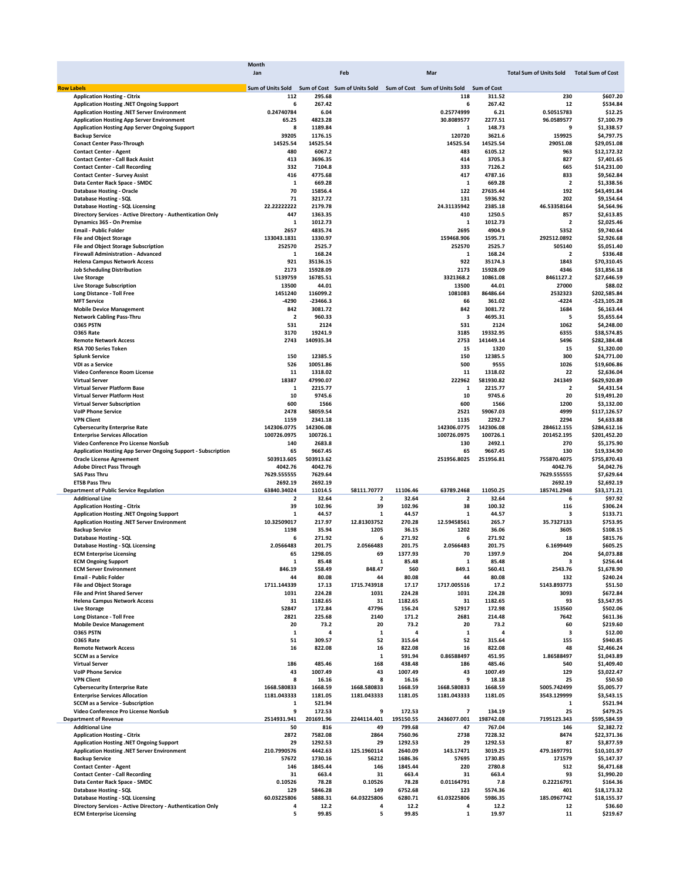|                                                               | Month       |            |                                                                                           |           |                         |           |                                           |                |
|---------------------------------------------------------------|-------------|------------|-------------------------------------------------------------------------------------------|-----------|-------------------------|-----------|-------------------------------------------|----------------|
|                                                               | Jan         |            | Feb                                                                                       |           | Mar                     |           | Total Sum of Units Sold Total Sum of Cost |                |
|                                                               |             |            |                                                                                           |           |                         |           |                                           |                |
| <b>Row Labels</b>                                             |             |            | Sum of Units Sold Sum of Cost Sum of Units Sold Sum of Cost Sum of Units Sold Sum of Cost |           |                         |           |                                           |                |
| <b>Application Hosting - Citrix</b>                           | 112         | 295.68     |                                                                                           |           | 118                     | 311.52    | 230                                       | \$607.20       |
| Application Hosting .NET Ongoing Support                      | 6           | 267.42     |                                                                                           |           | 6                       | 267.42    | 12                                        | \$534.84       |
|                                                               |             |            |                                                                                           |           |                         |           |                                           |                |
| Application Hosting .NET Server Environment                   | 0.24740784  | 6.04       |                                                                                           |           | 0.25774999              | 6.21      | 0.50515783                                | \$12.25        |
| <b>Application Hosting App Server Environment</b>             | 65.25       | 4823.28    |                                                                                           |           | 30.8089577              | 2277.51   | 96.0589577                                | \$7,100.79     |
| <b>Application Hosting App Server Ongoing Support</b>         | 8           | 1189.84    |                                                                                           |           | 1                       | 148.73    | 9                                         | \$1,338.57     |
| <b>Backup Service</b>                                         | 39205       | 1176.15    |                                                                                           |           | 120720                  | 3621.6    | 159925                                    | \$4,797.75     |
| <b>Conact Center Pass-Through</b>                             | 14525.54    | 14525.54   |                                                                                           |           | 14525.54                | 14525.54  | 29051.08                                  | \$29,051.08    |
|                                                               |             |            |                                                                                           |           |                         |           |                                           |                |
| <b>Contact Center - Agent</b>                                 | 480         | 6067.2     |                                                                                           |           | 483                     | 6105.12   | 963                                       | \$12,172.32    |
| <b>Contact Center - Call Back Assist</b>                      | 413         | 3696.35    |                                                                                           |           | 414                     | 3705.3    | 827                                       | \$7,401.65     |
| <b>Contact Center - Call Recording</b>                        | 332         | 7104.8     |                                                                                           |           | 333                     | 7126.2    | 665                                       | \$14,231.00    |
| <b>Contact Center - Survey Assist</b>                         | 416         | 4775.68    |                                                                                           |           | 417                     | 4787.16   | 833                                       | \$9,562.84     |
| Data Center Rack Space - SMDC                                 | 1           | 669.28     |                                                                                           |           | $\mathbf{1}$            | 669.28    | $\overline{\mathbf{2}}$                   | \$1,338.56     |
|                                                               |             |            |                                                                                           |           |                         |           |                                           |                |
| <b>Database Hosting - Oracle</b>                              | 70          | 15856.4    |                                                                                           |           | 122                     | 27635.44  | 192                                       | \$43,491.84    |
| Database Hosting - SQL                                        | 71          | 3217.72    |                                                                                           |           | 131                     | 5936.92   | 202                                       | \$9,154.64     |
| Database Hosting - SQL Licensing                              | 22.22222222 | 2179.78    |                                                                                           |           | 24.31135942             | 2385.18   | 46.53358164                               | \$4,564.96     |
| Directory Services - Active Directory - Authentication Only   | 447         | 1363.35    |                                                                                           |           | 410                     | 1250.5    | 857                                       | \$2,613.85     |
| Dynamics 365 - On Premise                                     | 1           | 1012.73    |                                                                                           |           | 1                       | 1012.73   | $\overline{\mathbf{2}}$                   | \$2,025.46     |
|                                                               |             |            |                                                                                           |           |                         |           |                                           |                |
| <b>Email - Public Folder</b>                                  | 2657        | 4835.74    |                                                                                           |           | 2695                    | 4904.9    | 5352                                      | \$9,740.64     |
| <b>File and Object Storage</b>                                | 133043.1831 | 1330.97    |                                                                                           |           | 159468.906              | 1595.71   | 292512.0892                               | \$2,926.68     |
| <b>File and Object Storage Subscription</b>                   | 252570      | 2525.7     |                                                                                           |           | 252570                  | 2525.7    | 505140                                    | \$5,051.40     |
| Firewall Administration - Advanced                            | 1           | 168.24     |                                                                                           |           | 1                       | 168.24    | 2                                         | \$336.48       |
| <b>Helena Campus Network Access</b>                           | 921         | 35136.15   |                                                                                           |           | 922                     | 35174.3   | 1843                                      | \$70,310.45    |
|                                                               |             |            |                                                                                           |           |                         |           |                                           |                |
| <b>Job Scheduling Distribution</b>                            | 2173        | 15928.09   |                                                                                           |           | 2173                    | 15928.09  | 4346                                      | \$31,856.18    |
| <b>Live Storage</b>                                           | 5139759     | 16785.51   |                                                                                           |           | 3321368.2               | 10861.08  | 8461127.2                                 | \$27,646.59    |
| <b>Live Storage Subscription</b>                              | 13500       | 44.01      |                                                                                           |           | 13500                   | 44.01     | 27000                                     | \$88.02        |
| <b>Long Distance - Toll Free</b>                              | 1451240     | 116099.2   |                                                                                           |           | 1081083                 | 86486.64  | 2532323                                   | \$202,585.84   |
| <b>MFT Service</b>                                            | -4290       | $-23466.3$ |                                                                                           |           | 66                      | 361.02    | $-4224$                                   | $-523, 105.28$ |
|                                                               |             | 3081.72    |                                                                                           |           |                         | 3081.72   |                                           |                |
| <b>Mobile Device Management</b>                               | 842         |            |                                                                                           |           | 842                     |           | 1684                                      | \$6,163.44     |
| <b>Network Cabling Pass-Thru</b>                              | 2           | 960.33     |                                                                                           |           | 3                       | 4695.31   | 5                                         | \$5,655.64     |
| <b>0365 PSTN</b>                                              | 531         | 2124       |                                                                                           |           | 531                     | 2124      | 1062                                      | \$4,248.00     |
| <b>0365 Rate</b>                                              | 3170        | 19241.9    |                                                                                           |           | 3185                    | 19332.95  | 6355                                      | \$38,574.85    |
|                                                               | 2743        | 140935.34  |                                                                                           |           | 2753                    | 141449.14 | 5496                                      |                |
| <b>Remote Network Access</b>                                  |             |            |                                                                                           |           |                         |           |                                           | \$282,384.48   |
| RSA 700 Series Token                                          |             |            |                                                                                           |           | 15                      | 1320      | 15                                        | \$1,320.00     |
| <b>Splunk Service</b>                                         | 150         | 12385.5    |                                                                                           |           | 150                     | 12385.5   | 300                                       | \$24,771.00    |
| <b>VDI as a Service</b>                                       | 526         | 10051.86   |                                                                                           |           | 500                     | 9555      | 1026                                      | \$19,606.86    |
| Video Conference Room License                                 | 11          | 1318.02    |                                                                                           |           | 11                      | 1318.02   | 22                                        | \$2,636.04     |
| <b>Virtual Server</b>                                         | 18387       | 47990.07   |                                                                                           |           | 222962                  | 581930.82 | 241349                                    | \$629,920.89   |
|                                                               |             |            |                                                                                           |           |                         |           |                                           |                |
| Virtual Server Platform Base                                  | 1           | 2215.77    |                                                                                           |           | 1                       | 2215.77   | 2                                         | \$4,431.54     |
| <b>Virtual Server Platform Host</b>                           | 10          | 9745.6     |                                                                                           |           | 10                      | 9745.6    | 20                                        | \$19,491.20    |
| <b>Virtual Server Subscription</b>                            | 600         | 1566       |                                                                                           |           | 600                     | 1566      | 1200                                      | \$3,132.00     |
| <b>VolP Phone Service</b>                                     | 2478        | 58059.54   |                                                                                           |           | 2521                    | 59067.03  | 4999                                      | \$117,126.57   |
|                                                               |             |            |                                                                                           |           |                         |           |                                           |                |
| <b>VPN Client</b>                                             | 1159        | 2341.18    |                                                                                           |           | 1135                    | 2292.7    | 2294                                      | \$4,633.88     |
| <b>Cybersecurity Enterprise Rate</b>                          | 142306.0775 | 142306.08  |                                                                                           |           | 142306.0775             | 142306.08 | 284612.155                                | \$284,612.16   |
| <b>Enterprise Services Allocation</b>                         | 100726.0975 | 100726.1   |                                                                                           |           | 100726.0975             | 100726.1  | 201452.195                                | \$201,452.20   |
| Video Conference Pro License NonSub                           | 140         | 2683.8     |                                                                                           |           | 130                     | 2492.1    | 270                                       | \$5,175.90     |
| Application Hosting App Server Ongoing Support - Subscription | 65          | 9667.45    |                                                                                           |           | 65                      | 9667.45   | 130                                       | \$19,334.90    |
|                                                               | 503913.605  |            |                                                                                           |           | 251956.8025             | 251956.81 | 755870.4075                               | \$755,870.43   |
| <b>Oracle License Agreement</b>                               |             | 503913.62  |                                                                                           |           |                         |           |                                           |                |
| <b>Adobe Direct Pass Through</b>                              | 4042.76     | 4042.76    |                                                                                           |           |                         |           | 4042.76                                   | \$4,042.76     |
| <b>SAS Pass Thru</b>                                          | 7629.555555 | 7629.64    |                                                                                           |           |                         |           | 7629.555555                               | \$7,629.64     |
| <b>ETSB Pass Thru</b>                                         | 2692.19     | 2692.19    |                                                                                           |           |                         |           | 2692.19                                   | \$2,692.19     |
| <b>Department of Public Service Regulation</b>                | 63840.34024 | 11014.5    | 58111.70777                                                                               | 11106.46  | 63789.2468              | 11050.25  | 185741.2948                               | \$33,171.21    |
| <b>Additional Line</b>                                        | 2           | 32.64      | $\overline{\mathbf{2}}$                                                                   | 32.64     | 2                       | 32.64     | 6                                         | \$97.92        |
|                                                               |             |            |                                                                                           |           |                         |           |                                           |                |
| <b>Application Hosting - Citrix</b>                           | 39          | 102.96     | 39                                                                                        | 102.96    | 38                      | 100.32    | 116                                       | \$306.24       |
| Application Hosting .NET Ongoing Support                      | 1           | 44.57      | 1                                                                                         | 44.57     | 1                       | 44.57     | 3                                         | \$133.71       |
| Application Hosting .NET Server Environment                   | 10.32509017 | 217.97     | 12.81303752                                                                               | 270.28    | 12.59458561             | 265.7     | 35.7327133                                | \$753.95       |
| <b>Backup Service</b>                                         | 1198        | 35.94      | 1205                                                                                      | 36.15     | 1202                    | 36.06     | 3605                                      | \$108.15       |
| Database Hosting - SQL                                        | 6           | 271.92     | 6                                                                                         | 271.92    | 6                       | 271.92    | 18                                        | \$815.76       |
|                                                               |             |            |                                                                                           |           |                         |           |                                           |                |
| Database Hosting - SQL Licensing                              | 2.0566483   | 201.75     | 2.0566483                                                                                 | 201.75    | 2.0566483               | 201.75    | 6.1699449                                 | \$605.25       |
| <b>ECM Enterprise Licensing</b>                               | 65          | 1298.05    | 69                                                                                        | 1377.93   | 70                      | 1397.9    | 204                                       | \$4,073.88     |
| <b>ECM Ongoing Support</b>                                    | 1           | 85.48      | 1                                                                                         | 85.48     | 1                       | 85.48     | з                                         | \$256.44       |
| <b>ECM Server Environment</b>                                 | 846.19      | 558.49     | 848.47                                                                                    | 560       | 849.1                   | 560.41    | 2543.76                                   | \$1,678.90     |
| <b>Email - Public Folder</b>                                  | 44          | 80.08      | 44                                                                                        | 80.08     | 44                      | 80.08     | 132                                       | \$240.24       |
| <b>File and Object Storage</b>                                | 1711.144339 | 17.13      | 1715.743918                                                                               | 17.17     | 1717.005516             | 17.2      | 5143.893773                               | \$51.50        |
|                                                               |             |            |                                                                                           |           |                         |           |                                           |                |
| <b>File and Print Shared Server</b>                           | 1031        | 224.28     | 1031                                                                                      | 224.28    | 1031                    | 224.28    | 3093                                      | \$672.84       |
| <b>Helena Campus Network Access</b>                           | 31          | 1182.65    | 31                                                                                        | 1182.65   | 31                      | 1182.65   | 93                                        | \$3,547.95     |
| <b>Live Storage</b>                                           | 52847       | 172.84     | 47796                                                                                     | 156.24    | 52917                   | 172.98    | 153560                                    | \$502.06       |
| <b>Long Distance - Toll Free</b>                              | 2821        | 225.68     | 2140                                                                                      | 171.2     | 2681                    | 214.48    | 7642                                      | \$611.36       |
| <b>Mobile Device Management</b>                               | 20          | 73.2       | 20                                                                                        | 73.2      | 20                      | 73.2      | 60                                        | \$219.60       |
|                                                               |             | 4          |                                                                                           | 4         |                         | 4         |                                           |                |
| <b>0365 PSTN</b>                                              | 1           |            | $\mathbf{1}$                                                                              |           | $\mathbf{1}$            |           | 3                                         | \$12.00        |
| <b>0365 Rate</b>                                              | 51          | 309.57     | 52                                                                                        | 315.64    | 52                      | 315.64    | 155                                       | \$940.85       |
| <b>Remote Network Access</b>                                  | 16          | 822.08     | 16                                                                                        | 822.08    | 16                      | 822.08    | 48                                        | \$2,466.24     |
| <b>SCCM</b> as a Service                                      |             |            | $\mathbf 1$                                                                               | 591.94    | 0.86588497              | 451.95    | 1.86588497                                | \$1,043.89     |
| <b>Virtual Server</b>                                         | 186         | 485.46     | 168                                                                                       |           | 186                     |           | 540                                       |                |
|                                                               |             |            |                                                                                           | 438.48    |                         | 485.46    |                                           | \$1,409.40     |
| <b>VolP Phone Service</b>                                     | 43          | 1007.49    | 43                                                                                        | 1007.49   | 43                      | 1007.49   | 129                                       | \$3,022.47     |
| <b>VPN Client</b>                                             | 8           | 16.16      | 8                                                                                         | 16.16     | 9                       | 18.18     | 25                                        | \$50.50        |
| <b>Cybersecurity Enterprise Rate</b>                          | 1668.580833 | 1668.59    | 1668.580833                                                                               | 1668.59   | 1668.580833             | 1668.59   | 5005.742499                               | \$5,005.77     |
| <b>Enterprise Services Allocation</b>                         | 1181.043333 | 1181.05    | 1181.043333                                                                               | 1181.05   | 1181.043333             | 1181.05   | 3543.129999                               | \$3,543.15     |
|                                                               |             |            |                                                                                           |           |                         |           |                                           |                |
| <b>SCCM as a Service - Subscription</b>                       | 1           | 521.94     |                                                                                           |           |                         |           | 1                                         | \$521.94       |
| Video Conference Pro License NonSub                           | 9           | 172.53     | 9                                                                                         | 172.53    | $\overline{\mathbf{z}}$ | 134.19    | 25                                        | \$479.25       |
| <b>Department of Revenue</b>                                  | 2514931.941 | 201691.96  | 2244114.401                                                                               | 195150.55 | 2436077.001             | 198742.08 | 7195123.343                               | \$595,584.59   |
| <b>Additional Line</b>                                        | 50          | 816        | 49                                                                                        | 799.68    | 47                      | 767.04    | 146                                       | \$2,382.72     |
|                                                               |             |            |                                                                                           |           | 2738                    |           | 8474                                      |                |
| <b>Application Hosting - Citrix</b>                           | 2872        | 7582.08    | 2864                                                                                      | 7560.96   |                         | 7228.32   |                                           | \$22,371.36    |
| Application Hosting .NET Ongoing Support                      | 29          | 1292.53    | 29                                                                                        | 1292.53   | 29                      | 1292.53   | 87                                        | \$3,877.59     |
| <b>Application Hosting .NET Server Environment</b>            | 210.7990576 | 4442.63    | 125.1960114                                                                               | 2640.09   | 143.17471               | 3019.25   | 479.1697791                               | \$10,101.97    |
| <b>Backup Service</b>                                         | 57672       | 1730.16    | 56212                                                                                     | 1686.36   | 57695                   | 1730.85   | 171579                                    | \$5,147.37     |
| <b>Contact Center - Agent</b>                                 | 146         | 1845.44    | 146                                                                                       | 1845.44   | 220                     | 2780.8    | 512                                       | \$6,471.68     |
|                                                               |             |            |                                                                                           |           |                         |           |                                           |                |
| <b>Contact Center - Call Recording</b>                        | 31          | 663.4      | 31                                                                                        | 663.4     | 31                      | 663.4     | 93                                        | \$1,990.20     |
| Data Center Rack Space - SMDC                                 | 0.10526     | 78.28      | 0.10526                                                                                   | 78.28     | 0.01164791              | 7.8       | 0.22216791                                | \$164.36       |
| Database Hosting - SQL                                        | 129         | 5846.28    | 149                                                                                       | 6752.68   | 123                     | 5574.36   | 401                                       | \$18,173.32    |
| <b>Database Hosting - SQL Licensing</b>                       | 60.03225806 | 5888.31    | 64.03225806                                                                               | 6280.71   | 61.03225806             | 5986.35   | 185.0967742                               | \$18,155.37    |
| Directory Services - Active Directory - Authentication Only   | 4           | 12.2       | 4                                                                                         | 12.2      | 4                       | 12.2      | 12                                        | \$36.60        |
|                                                               |             |            |                                                                                           |           |                         |           |                                           |                |
| <b>ECM Enterprise Licensing</b>                               | 5           | 99.85      | 5                                                                                         | 99.85     | 1                       | 19.97     | 11                                        | \$219.67       |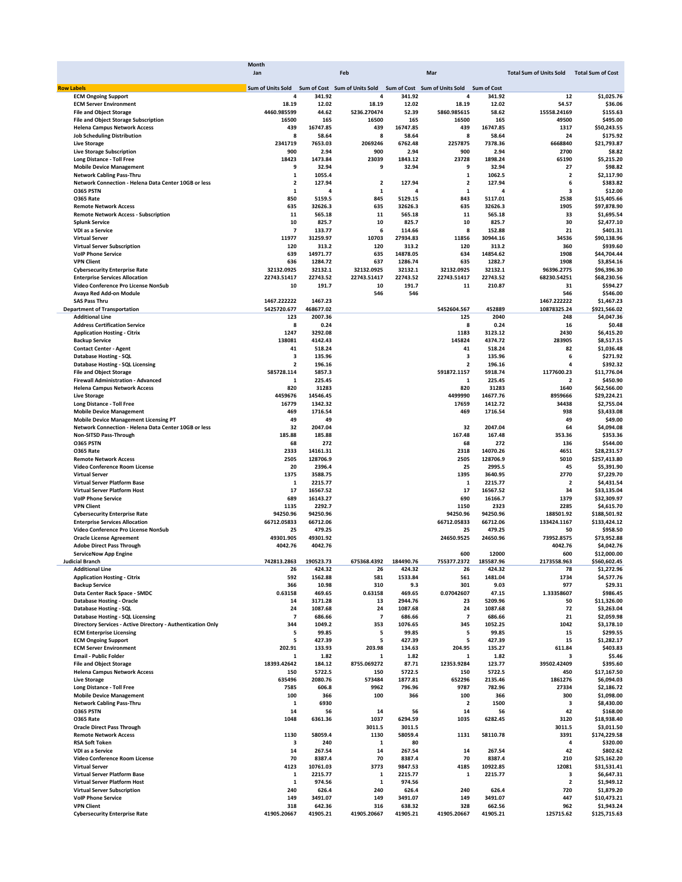|                                                                               | Month                                           |           |                         |           |                               |                    |                                |                          |
|-------------------------------------------------------------------------------|-------------------------------------------------|-----------|-------------------------|-----------|-------------------------------|--------------------|--------------------------------|--------------------------|
|                                                                               | Jan                                             |           | Feb                     |           | Mar                           |                    | <b>Total Sum of Units Sold</b> | <b>Total Sum of Cost</b> |
|                                                                               |                                                 |           |                         |           |                               |                    |                                |                          |
| <b>Row Labels</b>                                                             | Sum of Units Sold Sum of Cost Sum of Units Sold |           |                         |           | Sum of Cost Sum of Units Sold | <b>Sum of Cost</b> |                                |                          |
| <b>ECM Ongoing Support</b>                                                    | 4                                               | 341.92    | 4                       | 341.92    | 4                             | 341.92             | 12                             | \$1,025.76               |
| <b>ECM Server Environment</b>                                                 | 18.19                                           | 12.02     | 18.19                   | 12.02     | 18.19                         | 12.02              | 54.57                          | \$36.06                  |
| <b>File and Object Storage</b>                                                | 4460.985599                                     | 44.62     | 5236.270474             | 52.39     | 5860.985615                   | 58.62              | 15558.24169                    | \$155.63                 |
| <b>File and Object Storage Subscription</b>                                   | 16500                                           | 165       | 16500                   | 165       | 16500                         | 165                | 49500                          | \$495.00                 |
| <b>Helena Campus Network Access</b>                                           | 439                                             | 16747.85  | 439                     | 16747.85  | 439                           | 16747.85           | 1317                           | \$50,243.55              |
| <b>Job Scheduling Distribution</b>                                            | 8                                               | 58.64     | 8                       | 58.64     | 8                             | 58.64              | 24                             | \$175.92                 |
| <b>Live Storage</b>                                                           | 2341719                                         | 7653.03   | 2069246                 | 6762.48   | 2257875                       | 7378.36            | 6668840                        | \$21,793.87              |
| <b>Live Storage Subscription</b>                                              | 900                                             | 2.94      | 900                     | 2.94      | 900                           | 2.94               | 2700                           | \$8.82                   |
| <b>Long Distance - Toll Free</b>                                              | 18423                                           | 1473.84   | 23039                   | 1843.12   | 23728                         | 1898.24            | 65190                          | \$5,215.20               |
| <b>Mobile Device Management</b>                                               | 9                                               | 32.94     | 9                       | 32.94     | 9                             | 32.94              | 27                             | \$98.82                  |
| <b>Network Cabling Pass-Thru</b>                                              | $\mathbf 1$                                     | 1055.4    |                         |           | $\mathbf 1$                   | 1062.5             | $\overline{\mathbf{2}}$        | \$2,117.90               |
| Network Connection - Helena Data Center 10GB or less                          | 2                                               | 127.94    | $\overline{\mathbf{2}}$ | 127.94    | $\overline{\mathbf{2}}$       | 127.94             |                                | \$383.82<br>6            |
| <b>0365 PSTN</b>                                                              | 1                                               | 4         | 1                       | 4         | 1                             | 4                  |                                | з<br>\$12.00             |
| O365 Rate                                                                     | 850                                             | 5159.5    | 845                     | 5129.15   | 843                           | 5117.01            | 2538                           | \$15,405.66              |
| <b>Remote Network Access</b>                                                  | 635                                             | 32626.3   | 635                     | 32626.3   | 635                           | 32626.3            | 1905                           | \$97,878.90              |
| <b>Remote Network Access - Subscription</b>                                   | 11                                              | 565.18    | 11                      | 565.18    | 11                            | 565.18             | 33                             | \$1.695.54               |
| <b>Splunk Service</b>                                                         | 10                                              | 825.7     | 10                      | 825.7     | 10                            | 825.7              | 30                             | \$2,477.10               |
| VDI as a Service                                                              | $\overline{\phantom{a}}$                        | 133.77    | 6                       | 114.66    | 8                             | 152.88             | 21                             | \$401.31                 |
| <b>Virtual Server</b>                                                         | 11977                                           | 31259.97  | 10703                   | 27934.83  | 11856                         | 30944.16           | 34536                          | \$90,138.96              |
| <b>Virtual Server Subscription</b>                                            | 120                                             | 313.2     | 120                     | 313.2     | 120                           | 313.2              | 360                            | \$939.60                 |
| <b>VolP Phone Service</b>                                                     | 639                                             | 14971.77  | 635                     | 14878.05  | 634                           | 14854.62           | 1908                           | \$44,704.44              |
| <b>VPN Client</b>                                                             | 636                                             | 1284.72   | 637                     | 1286.74   | 635                           | 1282.7             | 1908                           | \$3,854.16               |
|                                                                               | 32132.0925                                      | 32132.1   | 32132.0925              | 32132.1   | 32132.0925                    | 32132.1            | 96396.2775                     | \$96,396.30              |
| <b>Cybersecurity Enterprise Rate</b><br><b>Enterprise Services Allocation</b> | 22743.51417                                     | 22743.52  |                         | 22743.52  |                               | 22743.52           | 68230.54251                    |                          |
|                                                                               |                                                 |           | 22743.51417             |           | 22743.51417                   |                    |                                | \$68,230.56              |
| Video Conference Pro License NonSub<br><b>Avava Red Add-on Module</b>         | 10                                              | 191.7     | 10                      | 191.7     | 11                            | 210.87             | 31                             | \$594.27                 |
|                                                                               |                                                 |           | 546                     | 546       |                               |                    | 546                            | \$546.00                 |
| <b>SAS Pass Thru</b>                                                          | 1467.222222                                     | 1467.23   |                         |           |                               |                    | 1467.222222                    | \$1,467.23               |
| <b>Department of Transportation</b>                                           | 5425720.677                                     | 468677.02 |                         |           | 5452604.567                   | 452889             | 10878325.24                    | \$921,566.02             |
| <b>Additional Line</b>                                                        | 123                                             | 2007.36   |                         |           | 125                           | 2040               | 248                            | \$4,047.36               |
| <b>Address Certification Service</b>                                          | 8                                               | 0.24      |                         |           | 8                             | 0.24               | 16                             | \$0.48                   |
| <b>Application Hosting - Citrix</b>                                           | 1247                                            | 3292.08   |                         |           | 1183                          | 3123.12            | 2430                           | \$6,415.20               |
| <b>Backup Service</b>                                                         | 138081                                          | 4142.43   |                         |           | 145824                        | 4374.72            | 283905                         | \$8,517.15               |
| <b>Contact Center - Agent</b>                                                 | 41                                              | 518.24    |                         |           | 41                            | 518.24             | 82                             | \$1,036.48               |
| Database Hosting - SQL                                                        | з                                               | 135.96    |                         |           | 3                             | 135.96             |                                | \$271.92<br>6            |
| Database Hosting - SQL Licensing                                              | 2                                               | 196.16    |                         |           | $\overline{\mathbf{2}}$       | 196.16             | 4                              | \$392.32                 |
| <b>File and Object Storage</b>                                                | 585728.114                                      | 5857.3    |                         |           | 591872.1157                   | 5918.74            | 1177600.23                     | \$11,776.04              |
| <b>Firewall Administration - Advanced</b>                                     | 1                                               | 225.45    |                         |           | 1                             | 225.45             | $\overline{2}$                 | \$450.90                 |
| <b>Helena Campus Network Access</b>                                           | 820                                             | 31283     |                         |           | 820                           | 31283              | 1640                           | \$62,566.00              |
| <b>Live Storage</b>                                                           | 4459676                                         | 14546.45  |                         |           | 4499990                       | 14677.76           | 8959666                        | \$29,224.21              |
| <b>Long Distance - Toll Free</b>                                              | 16779                                           | 1342.32   |                         |           | 17659                         | 1412.72            | 34438                          | \$2,755.04               |
| <b>Mobile Device Management</b>                                               | 469                                             | 1716.54   |                         |           | 469                           | 1716.54            | 938                            | \$3,433.08               |
| <b>Mobile Device Management Licensing PT</b>                                  | 49                                              | 49        |                         |           |                               |                    | 49                             | \$49.00                  |
| Network Connection - Helena Data Center 10GB or less                          | 32                                              | 2047.04   |                         |           | 32                            | 2047.04            | 64                             | \$4,094.08               |
| Non-SITSD Pass-Through                                                        | 185.88                                          | 185.88    |                         |           | 167.48                        | 167.48             | 353.36                         | \$353.36                 |
| <b>0365 PSTN</b>                                                              | 68                                              | 272       |                         |           | 68                            | 272                | 136                            | \$544.00                 |
| <b>0365 Rate</b>                                                              | 2333                                            | 14161.31  |                         |           | 2318                          | 14070.26           | 4651                           | \$28,231.57              |
| <b>Remote Network Access</b>                                                  | 2505                                            | 128706.9  |                         |           | 2505                          | 128706.9           | 5010                           | \$257,413.80             |
| Video Conference Room License                                                 | 20                                              | 2396.4    |                         |           | 25                            | 2995.5             | 45                             |                          |
|                                                                               |                                                 |           |                         |           |                               |                    |                                | \$5,391.90               |
| <b>Virtual Server</b>                                                         | 1375                                            | 3588.75   |                         |           | 1395                          | 3640.95            | 2770                           | \$7,229.70               |
| Virtual Server Platform Base                                                  | 1                                               | 2215.77   |                         |           | 1                             | 2215.77            | $\overline{\mathbf{2}}$        | \$4,431.54               |
| <b>Virtual Server Platform Host</b>                                           | 17                                              | 16567.52  |                         |           | 17                            | 16567.52           | 34                             | \$33,135.04              |
| <b>VolP Phone Service</b>                                                     | 689                                             | 16143.27  |                         |           | 690                           | 16166.7            | 1379                           | \$32,309.97              |
| <b>VPN Client</b>                                                             | 1135                                            | 2292.7    |                         |           | 1150                          | 2323               | 2285                           | \$4,615.70               |
| <b>Cybersecurity Enterprise Rate</b>                                          | 94250.96                                        | 94250.96  |                         |           | 94250.96                      | 94250.96           | 188501.92                      | \$188,501.92             |
| <b>Enterprise Services Allocation</b>                                         | 66712.05833                                     | 66712.06  |                         |           | 66712.05833                   | 66712.06           | 133424.1167                    | \$133,424.12             |
| Video Conference Pro License NonSub                                           | 25                                              | 479.25    |                         |           | 25                            | 479.25             | 50                             | \$958.50                 |
| <b>Oracle License Agreement</b>                                               | 49301.905                                       | 49301.92  |                         |           | 24650.9525                    | 24650.96           | 73952.8575                     | \$73,952.88              |
| <b>Adobe Direct Pass Through</b>                                              | 4042.76                                         | 4042.76   |                         |           |                               |                    | 4042.76                        | \$4,042.76               |
| <b>ServiceNow App Engine</b>                                                  |                                                 |           |                         |           | 600                           | 12000              | 600                            | \$12,000.00              |
| iicial Branch                                                                 | 742813.2863                                     | 190523.73 | 675368.4392             | 184490.76 | 2372                          | 185587.96          | 21735<br>3.963                 | \$560,602.45             |
| <b>Additional Line</b>                                                        | 26                                              | 424.32    | 26                      | 424.32    | 26                            | 424.32             | 78                             | \$1,272.96               |
| <b>Application Hosting - Citrix</b>                                           | 592                                             | 1562.88   | 581                     | 1533.84   | 561                           | 1481.04            | 1734                           | \$4,577.76               |
| <b>Backup Service</b>                                                         | 366                                             | 10.98     | 310                     | 9.3       | 301                           | 9.03               | 977                            | \$29.31                  |
| Data Center Rack Space - SMDC                                                 | 0.63158                                         | 469.65    | 0.63158                 | 469.65    | 0.07042607                    | 47.15              | 1.33358607                     | \$986.45                 |
| <b>Database Hosting - Oracle</b>                                              | 14                                              | 3171.28   | 13                      | 2944.76   | 23                            | 5209.96            | 50                             | \$11,326.00              |
| <b>Database Hosting - SQL</b>                                                 | 24                                              | 1087.68   | 24                      | 1087.68   | 24                            | 1087.68            | 72                             | \$3,263.04               |
| Database Hosting - SQL Licensing                                              | 7                                               | 686.66    | 7                       | 686.66    | $\overline{\mathbf{z}}$       | 686.66             | 21                             | \$2,059.98               |
| Directory Services - Active Directory - Authentication Only                   | 344                                             | 1049.2    | 353                     | 1076.65   | 345                           | 1052.25            | 1042                           | \$3,178.10               |
| <b>ECM Enterprise Licensing</b>                                               | 5                                               | 99.85     | 5                       | 99.85     | 5                             | 99.85              | 15                             | \$299.55                 |
| <b>ECM Ongoing Support</b>                                                    | 5                                               | 427.39    | 5                       | 427.39    | 5                             | 427.39             | 15                             | \$1,282.17               |
| <b>ECM Server Environment</b>                                                 | 202.91                                          | 133.93    | 203.98                  | 134.63    | 204.95                        | 135.27             | 611.84                         | \$403.83                 |
| <b>Email - Public Folder</b>                                                  | 1                                               | 1.82      | 1                       | 1.82      | 1                             | 1.82               | 3                              | \$5.46                   |
|                                                                               | 18393.42642                                     | 184.12    | 8755.069272             | 87.71     | 12353.9284                    |                    | 39502.42409                    | \$395.60                 |
| <b>File and Object Storage</b>                                                |                                                 |           |                         |           |                               | 123.77             |                                |                          |
| <b>Helena Campus Network Access</b>                                           | 150                                             | 5722.5    | 150                     | 5722.5    | 150                           | 5722.5             | 450                            | \$17,167.50              |
| <b>Live Storage</b>                                                           | 635496                                          | 2080.76   | 573484                  | 1877.81   | 652296                        | 2135.46            | 1861276                        | \$6,094.03               |
| <b>Long Distance - Toll Free</b>                                              | 7585                                            | 606.8     | 9962                    | 796.96    | 9787                          | 782.96             | 27334                          | \$2,186.72               |
| <b>Mobile Device Management</b>                                               | 100                                             | 366       | 100                     | 366       | 100                           | 366                | 300                            | \$1,098.00               |
| <b>Network Cabling Pass-Thru</b>                                              | 1                                               | 6930      |                         |           | $\overline{\mathbf{2}}$       | 1500               | 3                              | \$8,430.00               |
| O365 PSTN                                                                     | 14                                              | 56        | 14                      | 56        | 14                            | 56                 | 42                             | \$168.00                 |
| <b>0365 Rate</b>                                                              | 1048                                            | 6361.36   | 1037                    | 6294.59   | 1035                          | 6282.45            | 3120                           | \$18,938.40              |
| <b>Oracle Direct Pass Through</b>                                             |                                                 |           | 3011.5                  | 3011.5    |                               |                    | 3011.5                         | \$3,011.50               |
| <b>Remote Network Access</b>                                                  | 1130                                            | 58059.4   | 1130                    | 58059.4   | 1131                          | 58110.78           | 3391                           | \$174,229.58             |
| <b>RSA Soft Token</b>                                                         | 3                                               | 240       | $\mathbf{1}$            | 80        |                               |                    | 4                              | \$320.00                 |
| VDI as a Service                                                              | 14                                              | 267.54    | 14                      | 267.54    | 14                            | 267.54             | 42                             | \$802.62                 |
| Video Conference Room License                                                 | 70                                              | 8387.4    | 70                      | 8387.4    | 70                            | 8387.4             | 210                            | \$25,162.20              |
| <b>Virtual Server</b>                                                         | 4123                                            | 10761.03  | 3773                    | 9847.53   | 4185                          | 10922.85           | 12081                          | \$31,531.41              |
| <b>Virtual Server Platform Base</b>                                           | 1                                               | 2215.77   | 1                       | 2215.77   | 1                             | 2215.77            | 3                              | \$6,647.31               |
| Virtual Server Platform Host                                                  | 1                                               | 974.56    | 1                       | 974.56    |                               |                    | $\overline{\mathbf{2}}$        | \$1,949.12               |
| <b>Virtual Server Subscription</b>                                            | 240                                             | 626.4     | 240                     | 626.4     | 240                           | 626.4              | 720                            | \$1,879.20               |
| <b>VolP Phone Service</b>                                                     | 149                                             | 3491.07   | 149                     | 3491.07   | 149                           | 3491.07            | 447                            | \$10,473.21              |
| <b>VPN Client</b>                                                             | 318                                             | 642.36    | 316                     | 638.32    | 328                           | 662.56             | 962                            | \$1,943.24               |
| <b>Cybersecurity Enterprise Rate</b>                                          | 41905.20667                                     | 41905.21  | 41905.20667             | 41905.21  | 41905.20667                   | 41905.21           | 125715.62                      | \$125,715.63             |
|                                                                               |                                                 |           |                         |           |                               |                    |                                |                          |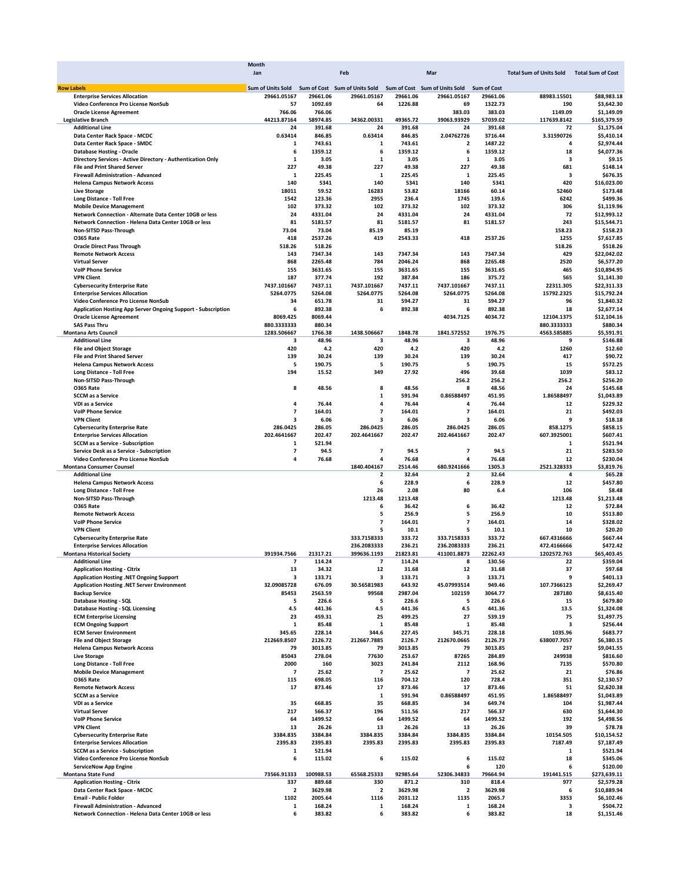|                                                                                            | Month                                                                         |                   |                         |                   |                          |                    |                                |                            |
|--------------------------------------------------------------------------------------------|-------------------------------------------------------------------------------|-------------------|-------------------------|-------------------|--------------------------|--------------------|--------------------------------|----------------------------|
|                                                                                            | Jan                                                                           |                   | Feb                     |                   | Mar                      |                    | <b>Total Sum of Units Sold</b> | <b>Total Sum of Cost</b>   |
| <b>Row Labels</b>                                                                          | Sum of Units Sold Sum of Cost Sum of Units Sold Sum of Cost Sum of Units Sold |                   |                         |                   |                          | <b>Sum of Cost</b> |                                |                            |
| <b>Enterprise Services Allocation</b>                                                      | 29661.05167                                                                   | 29661.06          | 29661.05167             | 29661.06          | 29661.05167              | 29661.06           | 88983.15501                    | \$88,983.18                |
| Video Conference Pro License NonSub                                                        | 57                                                                            | 1092.69           | 64                      | 1226.88           | 69                       | 1322.73            | 190                            | \$3.642.30                 |
| <b>Oracle License Agreement</b>                                                            | 766.06                                                                        | 766.06            |                         |                   | 383.03                   | 383.03             | 1149.09                        | \$1,149.09                 |
| <b>Legislative Branch</b>                                                                  | 44213.87164                                                                   | 58974.85          | 34362.00331             | 49365.72          | 39063.93929              | 57039.02           | 117639.8142                    | \$165,379.59               |
| <b>Additional Line</b>                                                                     | 24                                                                            | 391.68            | 24                      | 391.68            | 24                       | 391.68             | 72                             | \$1,175.04                 |
| Data Center Rack Space - MCDC                                                              | 0.63414                                                                       | 846.85            | 0.63414                 | 846.85            | 2.04762726               | 3716.44            | 3.31590726                     | \$5,410.14                 |
| Data Center Rack Space - SMDC                                                              | 1                                                                             | 743.61            | 1                       | 743.61            | $\overline{\mathbf{2}}$  | 1487.22            | 4                              | \$2,974.44                 |
| <b>Database Hosting - Oracle</b>                                                           | 6                                                                             | 1359.12           | 6                       | 1359.12           | 6                        | 1359.12            | 18                             | \$4,077.36                 |
| Directory Services - Active Directory - Authentication Only                                | $\mathbf{1}$                                                                  | 3.05              | $\mathbf{1}$            | 3.05              | $\mathbf 1$              | 3.05               | 3                              | \$9.15                     |
| <b>File and Print Shared Server</b>                                                        | 227                                                                           | 49.38             | 227                     | 49.38             | 227                      | 49.38              | 681                            | \$148.14                   |
| Firewall Administration - Advanced                                                         | 1                                                                             | 225.45            | 1                       | 225.45            | 1                        | 225.45             | 3                              | \$676.35                   |
| <b>Helena Campus Network Access</b>                                                        | 140                                                                           | 5341<br>59.52     | 140                     | 5341              | 140                      | 5341               | 420                            | \$16,023.00                |
| <b>Live Storage</b>                                                                        | 18011<br>1542                                                                 | 123.36            | 16283<br>2955           | 53.82<br>236.4    | 18166<br>1745            | 60.14<br>139.6     | 52460<br>6242                  | \$173.48<br>\$499.36       |
| <b>Long Distance - Toll Free</b>                                                           |                                                                               |                   |                         |                   |                          |                    | 306                            |                            |
| <b>Mobile Device Management</b><br>Network Connection - Alternate Data Center 10GB or less | 102<br>24                                                                     | 373.32<br>4331.04 | 102<br>24               | 373.32<br>4331.04 | 102<br>24                | 373.32<br>4331.04  | 72                             | \$1,119.96<br>\$12,993.12  |
| Network Connection - Helena Data Center 10GB or less                                       | 81                                                                            | 5181.57           | 81                      | 5181.57           | 81                       | 5181.57            | 243                            | \$15,544.71                |
| Non-SITSD Pass-Through                                                                     | 73.04                                                                         | 73.04             | 85.19                   | 85.19             |                          |                    | 158.23                         | \$158.23                   |
| O365 Rate                                                                                  | 418                                                                           | 2537.26           | 419                     | 2543.33           | 418                      | 2537.26            | 1255                           | \$7,617.85                 |
| <b>Oracle Direct Pass Through</b>                                                          | 518.26                                                                        | 518.26            |                         |                   |                          |                    | 518.26                         | \$518.26                   |
| <b>Remote Network Access</b>                                                               | 143                                                                           | 7347.34           | 143                     | 7347.34           | 143                      | 7347.34            | 429                            | \$22,042.02                |
| <b>Virtual Server</b>                                                                      | 868                                                                           | 2265.48           | 784                     | 2046.24           | 868                      | 2265.48            | 2520                           | \$6,577.20                 |
| <b>VolP Phone Service</b>                                                                  | 155                                                                           | 3631.65           | 155                     | 3631.65           | 155                      | 3631.65            | 465                            | \$10,894.95                |
| <b>VPN Client</b>                                                                          | 187                                                                           | 377.74            | 192                     | 387.84            | 186                      | 375.72             | 565                            | \$1,141.30                 |
| <b>Cybersecurity Enterprise Rate</b>                                                       | 7437.101667                                                                   | 7437.11           | 7437.101667             | 7437.11           | 7437.101667              | 7437.11            | 22311.305                      | \$22,311.33                |
| <b>Enterprise Services Allocation</b>                                                      | 5264.0775                                                                     | 5264.08           | 5264.0775               | 5264.08           | 5264.0775                | 5264.08            | 15792.2325                     | \$15,792.24                |
| Video Conference Pro License NonSub                                                        | 34                                                                            | 651.78            | 31                      | 594.27            | 31                       | 594.27             | 96                             | \$1,840.32                 |
| <b>Application Hosting App Server Ongoing Support - Subscription</b>                       | 6                                                                             | 892.38            | 6                       | 892.38            | 6                        | 892.38             | 18                             | \$2,677.14                 |
| <b>Oracle License Agreement</b>                                                            | 8069.425                                                                      | 8069.44           |                         |                   | 4034.7125                | 4034.72            | 12104.1375                     | \$12,104.16                |
| <b>SAS Pass Thru</b>                                                                       | 880.3333333                                                                   | 880.34            |                         |                   |                          |                    | 880.3333333                    | \$880.34                   |
| <b>Montana Arts Council</b>                                                                | 1283.506667                                                                   | 1766.38           | 1438.506667             | 1848.78           | 1841.572552              | 1976.75            | 4563.585885                    | \$5,591.91                 |
| <b>Additional Line</b>                                                                     | 3                                                                             | 48.96             | 3                       | 48.96             | з                        | 48.96              | 9                              | \$146.88                   |
| <b>File and Object Storage</b>                                                             | 420                                                                           | 4.2               | 420                     | 4.2               | 420                      | 4.2                | 1260                           | \$12.60                    |
| <b>File and Print Shared Server</b>                                                        | 139                                                                           | 30.24             | 139                     | 30.24             | 139                      | 30.24              | 417                            | \$90.72                    |
| <b>Helena Campus Network Access</b>                                                        | 5                                                                             | 190.75            | 5                       | 190.75            | 5                        | 190.75             | 15                             | \$572.25                   |
| <b>Long Distance - Toll Free</b>                                                           | 194                                                                           | 15.52             | 349                     | 27.92             | 496                      | 39.68              | 1039                           | \$83.12                    |
| Non-SITSD Pass-Through                                                                     |                                                                               |                   |                         |                   | 256.2                    | 256.2              | 256.2                          | \$256.20                   |
| <b>0365 Rate</b>                                                                           | 8                                                                             | 48.56             | 8                       | 48.56             | 8                        | 48.56              | 24                             | \$145.68                   |
| <b>SCCM</b> as a Service                                                                   |                                                                               |                   | $\mathbf{1}$            | 591.94            | 0.86588497               | 451.95             | 1.86588497                     | \$1,043.89                 |
| VDI as a Service                                                                           | 4                                                                             | 76.44             | 4                       | 76.44             | 4                        | 76.44              | 12                             | \$229.32                   |
| <b>VolP Phone Service</b>                                                                  | $\overline{7}$                                                                | 164.01            | $\overline{7}$          | 164.01            | $\overline{7}$           | 164.01             | 21                             | \$492.03                   |
| <b>VPN Client</b>                                                                          | 3                                                                             | 6.06              | 3                       | 6.06              | з                        | 6.06               | 9                              | \$18.18                    |
| <b>Cybersecurity Enterprise Rate</b>                                                       | 286.0425                                                                      | 286.05            | 286.0425                | 286.05            | 286.0425                 | 286.05             | 858.1275                       | \$858.15                   |
| <b>Enterprise Services Allocation</b>                                                      | 202.4641667                                                                   | 202.47            | 202.4641667             | 202.47            | 202.4641667              | 202.47             | 607.3925001                    | \$607.41                   |
| <b>SCCM as a Service - Subscription</b>                                                    | 1                                                                             | 521.94            |                         |                   |                          |                    | $\mathbf{1}$                   | \$521.94                   |
| Service Desk as a Service - Subscription                                                   | 7                                                                             | 94.5              | 7                       | 94.5              | $\overline{\phantom{a}}$ | 94.5               | 21                             | \$283.50                   |
| Video Conference Pro License NonSub                                                        | 4                                                                             | 76.68             | 4                       | 76.68             | 4                        | 76.68              | 12                             | \$230.04                   |
| <b>Montana Consumer Counsel</b>                                                            |                                                                               |                   | 1840.404167             | 2514.46           | 680.9241666              | 1305.3             | 2521.328333                    | \$3,819.76                 |
| <b>Additional Line</b>                                                                     |                                                                               |                   | $\overline{\mathbf{2}}$ | 32.64             | 2                        | 32.64              | 4                              | \$65.28                    |
| <b>Helena Campus Network Access</b>                                                        |                                                                               |                   | 6                       | 228.9             | 6                        | 228.9              | 12                             | \$457.80                   |
| <b>Long Distance - Toll Free</b>                                                           |                                                                               |                   | 26                      | 2.08              | 80                       | 6.4                | 106                            | \$8.48                     |
| Non-SITSD Pass-Through                                                                     |                                                                               |                   | 1213.48                 | 1213.48           |                          |                    | 1213.48                        | \$1,213.48                 |
| O365 Rate                                                                                  |                                                                               |                   | 6                       | 36.42             | 6                        | 36.42              | 12                             | \$72.84                    |
| <b>Remote Network Access</b>                                                               |                                                                               |                   | 5                       | 256.9             | 5                        | 256.9              | 10                             | \$513.80                   |
| <b>VolP Phone Service</b>                                                                  |                                                                               |                   | $\overline{7}$          | 164.01            | $\overline{7}$           | 164.01             | 14                             | \$328.02                   |
| <b>VPN Client</b>                                                                          |                                                                               |                   | 5                       | 10.1              | 5                        | 10.1               | 10                             | \$20.20                    |
| <b>Cybersecurity Enterprise Rate</b>                                                       |                                                                               |                   | 333.7158333             | 333.72            | 333.7158333              | 333.72             | 667.4316666                    | \$667.44                   |
| <b>Enterprise Services Allocation</b>                                                      |                                                                               |                   | 236.2083333             | 236.21            | 236.2083333              | 236.21             | 472.4166666                    | \$472.42                   |
| <b>Montana Historical Society</b>                                                          | 391934.7566                                                                   | 21317.21          | 399636.1193             | 21823.81          | 411001.8873              | 22262.43           | 1202572.763                    | \$65,403.45                |
| <b>Additional Line</b>                                                                     |                                                                               | 114.24            | $\mathbf{7}$            | 114.24            |                          | 130.56             | 22                             | \$359.04                   |
| <b>Application Hosting - Citrix</b>                                                        | 13                                                                            | 34.32             | 12                      | 31.68             | 12                       | 31.68              | 37                             | \$97.68                    |
| Application Hosting .NET Ongoing Support                                                   | 3                                                                             | 133.71            | 3                       | 133.71            | 3                        | 133.71             | 9                              | \$401.13                   |
| Application Hosting .NET Server Environment                                                | 32.09085728                                                                   | 676.09            | 30.56581983             | 643.92            | 45.07993514              | 949.46             | 107.7366123                    | \$2,269.47                 |
| <b>Backup Service</b>                                                                      | 85453                                                                         | 2563.59           | 99568                   | 2987.04           | 102159                   | 3064.77            | 287180                         | \$8,615.40                 |
| <b>Database Hosting - SQL</b>                                                              | 5                                                                             | 226.6             | 5                       | 226.6             | 5                        | 226.6              | 15                             | \$679.80                   |
| <b>Database Hosting - SQL Licensing</b>                                                    | 4.5                                                                           | 441.36            | 4.5                     | 441.36            | 4.5                      | 441.36             | 13.5                           | \$1,324.08                 |
| <b>ECM Enterprise Licensing</b>                                                            | 23                                                                            | 459.31            | 25                      | 499.25            | 27                       | 539.19             | 75                             | \$1,497.75                 |
| <b>ECM Ongoing Support</b>                                                                 | 1                                                                             | 85.48             | $\mathbf{1}$            | 85.48             | 1                        | 85.48              | 3                              | \$256.44                   |
| <b>ECM Server Environment</b>                                                              | 345.65                                                                        | 228.14            | 344.6                   | 227.45            | 345.71                   | 228.18             | 1035.96                        | \$683.77                   |
| <b>File and Object Storage</b>                                                             | 212669.8507                                                                   | 2126.72           | 212667.7885             | 2126.7            | 212670.0665              | 2126.73            | 638007.7057                    | \$6,380.15                 |
| <b>Helena Campus Network Access</b>                                                        | 79                                                                            | 3013.85           | 79                      | 3013.85           | 79                       | 3013.85            | 237                            | \$9,041.55                 |
| <b>Live Storage</b>                                                                        | 85043                                                                         | 278.04            | 77630                   | 253.67            | 87265                    | 284.89             | 249938                         | \$816.60                   |
| <b>Long Distance - Toll Free</b>                                                           | 2000                                                                          | 160               | 3023                    | 241.84            | 2112                     | 168.96             | 7135                           | \$570.80                   |
| <b>Mobile Device Management</b>                                                            | $\overline{\phantom{a}}$                                                      | 25.62             | 7                       | 25.62             | $\overline{7}$           | 25.62              | 21                             | \$76.86                    |
| <b>0365 Rate</b>                                                                           | 115                                                                           | 698.05            | 116                     | 704.12            | 120                      | 728.4              | 351                            | \$2,130.57                 |
| <b>Remote Network Access</b>                                                               | 17                                                                            | 873.46            | 17                      | 873.46            | 17                       | 873.46             | 51                             | \$2,620.38                 |
| <b>SCCM as a Service</b>                                                                   |                                                                               |                   | 1                       | 591.94            | 0.86588497               | 451.95             | 1.86588497                     | \$1,043.89                 |
| VDI as a Service                                                                           | 35                                                                            | 668.85            | 35                      | 668.85            | 34                       | 649.74             | 104                            | \$1,987.44                 |
| <b>Virtual Server</b>                                                                      | 217                                                                           | 566.37            | 196                     | 511.56            | 217                      | 566.37             | 630                            | \$1,644.30                 |
| <b>VolP Phone Service</b>                                                                  | 64                                                                            | 1499.52           | 64                      | 1499.52           | 64                       | 1499.52            | 192                            | \$4,498.56                 |
| <b>VPN Client</b>                                                                          | 13                                                                            | 26.26             | 13                      | 26.26             | 13                       | 26.26              | 39                             | \$78.78                    |
| <b>Cybersecurity Enterprise Rate</b>                                                       | 3384.835                                                                      | 3384.84           | 3384.835                | 3384.84           | 3384.835                 | 3384.84            | 10154.505                      | \$10,154.52                |
| <b>Enterprise Services Allocation</b>                                                      | 2395.83                                                                       | 2395.83           | 2395.83                 | 2395.83           | 2395.83                  | 2395.83            | 7187.49                        | \$7,187.49                 |
|                                                                                            | 1                                                                             | 521.94            |                         |                   |                          |                    | 1                              | \$521.94                   |
| <b>SCCM as a Service - Subscription</b>                                                    |                                                                               | 115.02            | 6                       | 115.02            | 6                        | 115.02             | 18                             | \$345.06                   |
| Video Conference Pro License NonSub                                                        | 6                                                                             |                   |                         |                   |                          | 120                | 6                              | \$120.00                   |
| <b>ServiceNow App Engine</b>                                                               |                                                                               |                   |                         |                   | 6                        |                    |                                |                            |
|                                                                                            | 73566.91333                                                                   | 100988.53         | 65568.25333             | 92985.64          | 52306.34833              | 79664.94           | 191441.515                     |                            |
| <b>Application Hosting - Citrix</b>                                                        | 337                                                                           | 889.68            | 330                     | 871.2             | 310                      | 818.4              | 977                            | \$273,639.11<br>\$2,579.28 |
| Data Center Rack Space - MCDC                                                              | $\overline{\mathbf{2}}$                                                       | 3629.98           | $\overline{\mathbf{2}}$ | 3629.98           | 2                        | 3629.98            | 6                              | \$10,889.94                |
| <b>Email - Public Folder</b>                                                               | 1102                                                                          | 2005.64           | 1116                    | 2031.12           | 1135                     | 2065.7             | 3353                           | \$6,102.46                 |
| Montana State Fund<br><b>Firewall Administration - Advanced</b>                            | 1                                                                             | 168.24            | 1                       | 168.24            | 1                        | 168.24             | 3                              | \$504.72                   |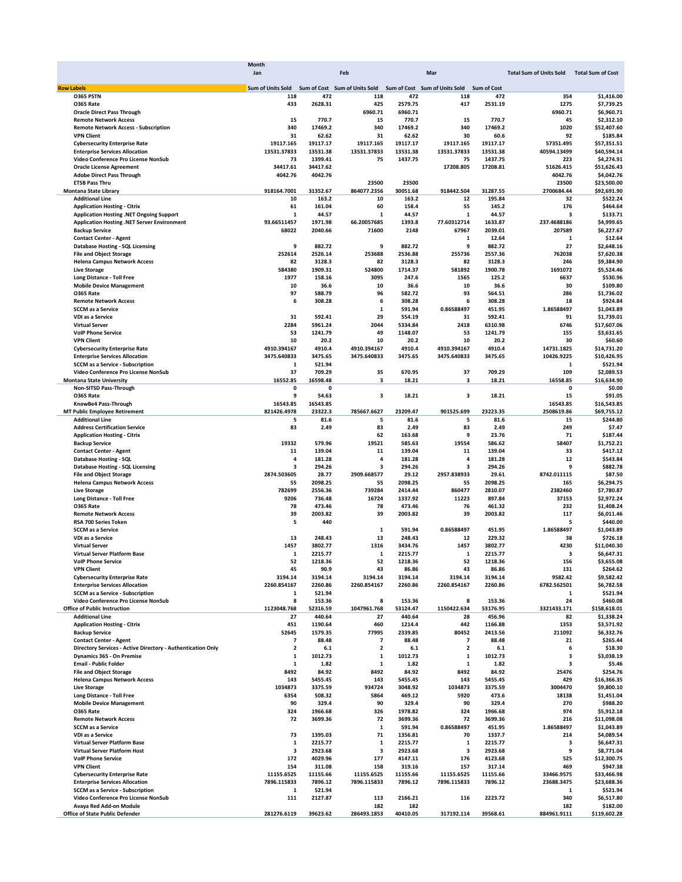|                   |                                                             | <b>Month</b>             |             |                               |          |                               |                    |                                |                          |
|-------------------|-------------------------------------------------------------|--------------------------|-------------|-------------------------------|----------|-------------------------------|--------------------|--------------------------------|--------------------------|
|                   |                                                             | Jan                      |             | Feb                           |          | Mar                           |                    | <b>Total Sum of Units Sold</b> | <b>Total Sum of Cost</b> |
|                   |                                                             |                          |             |                               |          |                               |                    |                                |                          |
| <b>Row Labels</b> |                                                             | <b>Sum of Units Sold</b> |             | Sum of Cost Sum of Units Sold |          | Sum of Cost Sum of Units Sold | <b>Sum of Cost</b> |                                |                          |
|                   | <b>0365 PSTN</b>                                            | 118                      | 472         | 118                           | 472      | 118                           | 472                | 354                            | \$1,416.00               |
|                   | <b>0365 Rate</b>                                            | 433                      | 2628.31     | 425                           | 2579.75  | 417                           | 2531.19            | 1275                           | \$7,739.25               |
|                   | <b>Oracle Direct Pass Through</b>                           |                          |             | 6960.71                       | 6960.71  |                               |                    | 6960.71                        | \$6,960.71               |
|                   | <b>Remote Network Access</b>                                | 15                       | 770.7       | 15                            | 770.7    | 15                            | 770.7              | 45                             | \$2,312.10               |
|                   | <b>Remote Network Access - Subscription</b>                 | 340                      | 17469.2     | 340                           | 17469.2  | 340                           | 17469.2            | 1020                           | \$52,407.60              |
|                   | <b>VPN Client</b>                                           | 31                       | 62.62       | 31                            | 62.62    | 30                            | 60.6               | 92                             | \$185.84                 |
|                   | <b>Cybersecurity Enterprise Rate</b>                        | 19117.165                | 19117.17    | 19117.165                     | 19117.17 | 19117.165                     | 19117.17           | 57351.495                      | \$57,351.51              |
|                   |                                                             |                          |             |                               |          |                               |                    |                                |                          |
|                   | <b>Enterprise Services Allocation</b>                       | 13531.37833              | 13531.38    | 13531.37833                   | 13531.38 | 13531.37833                   | 13531.38           | 40594.13499                    | \$40,594.14              |
|                   | Video Conference Pro License NonSub                         | 73                       | 1399.41     | 75                            | 1437.75  | 75                            | 1437.75            | 223                            | \$4,274.91               |
|                   | <b>Oracle License Agreement</b>                             | 34417.61                 | 34417.62    |                               |          | 17208.805                     | 17208.81           | 51626.415                      | \$51,626.43              |
|                   | <b>Adobe Direct Pass Through</b>                            | 4042.76                  | 4042.76     |                               |          |                               |                    | 4042.76                        | \$4,042.76               |
|                   | <b>ETSB Pass Thru</b>                                       |                          |             | 23500                         | 23500    |                               |                    | 23500                          | \$23,500.00              |
|                   | <b>Montana State Library</b>                                | 918164.7001              | 31352.67    | 864077.2356                   | 30051.68 | 918442.504                    | 31287.55           | 2700684.44                     | \$92,691.90              |
|                   | <b>Additional Line</b>                                      | 10                       | 163.2       | 10                            | 163.2    | 12                            | 195.84             | 32                             | \$522.24                 |
|                   |                                                             |                          |             |                               |          |                               |                    | 176                            |                          |
|                   | <b>Application Hosting - Citrix</b>                         | 61                       | 161.04      | 60                            | 158.4    | 55                            | 145.2              |                                | \$464.64                 |
|                   | Application Hosting .NET Ongoing Support                    | 1                        | 44.57       | 1                             | 44.57    | 1                             | 44.57              | 3                              | \$133.71                 |
|                   | Application Hosting .NET Server Environment                 | 93.66511457              | 1971.98     | 66.20057685                   | 1393.8   | 77.60312714                   | 1633.87            | 237.4688186                    | \$4,999.65               |
|                   | <b>Backup Service</b>                                       | 68022                    | 2040.66     | 71600                         | 2148     | 67967                         | 2039.01            | 207589                         | \$6,227.67               |
|                   | <b>Contact Center - Agent</b>                               |                          |             |                               |          | 1                             | 12.64              | 1                              | \$12.64                  |
|                   | <b>Database Hosting - SQL Licensing</b>                     | 9                        | 882.72      | 9                             | 882.72   | 9                             | 882.72             | 27                             | \$2,648.16               |
|                   | <b>File and Object Storage</b>                              | 252614                   | 2526.14     | 253688                        | 2536.88  | 255736                        | 2557.36            | 762038                         | \$7,620.38               |
|                   | <b>Helena Campus Network Access</b>                         | 82                       | 3128.3      | 82                            | 3128.3   | 82                            | 3128.3             | 246                            | \$9,384.90               |
|                   |                                                             |                          |             |                               |          |                               |                    |                                |                          |
|                   | <b>Live Storage</b>                                         | 584380                   | 1909.31     | 524800                        | 1714.37  | 581892                        | 1900.78            | 1691072                        | \$5,524.46               |
|                   | <b>Long Distance - Toll Free</b>                            | 1977                     | 158.16      | 3095                          | 247.6    | 1565                          | 125.2              | 6637                           | \$530.96                 |
|                   | <b>Mobile Device Management</b>                             | 10                       | 36.6        | 10                            | 36.6     | 10                            | 36.6               | 30                             | \$109.80                 |
|                   | <b>0365 Rate</b>                                            | 97                       | 588.79      | 96                            | 582.72   | 93                            | 564.51             | 286                            | \$1,736.02               |
|                   | <b>Remote Network Access</b>                                | 6                        | 308.28      | 6                             | 308.28   | 6                             | 308.28             | 18                             | \$924.84                 |
|                   | <b>SCCM</b> as a Service                                    |                          |             | 1                             | 591.94   | 0.86588497                    | 451.95             | 1.86588497                     | \$1,043.89               |
|                   |                                                             | 31                       | 592.41      | 29                            | 554.19   | 31                            | 592.41             | 91                             |                          |
|                   | VDI as a Service                                            |                          |             |                               |          |                               |                    |                                | \$1,739.01               |
|                   | <b>Virtual Server</b>                                       | 2284                     | 5961.24     | 2044                          | 5334.84  | 2418                          | 6310.98            | 6746                           | \$17,607.06              |
|                   | <b>VolP Phone Service</b>                                   | 53                       | 1241.79     | 49                            | 1148.07  | 53                            | 1241.79            | 155                            | \$3,631.65               |
|                   | <b>VPN Client</b>                                           | 10                       | 20.2        | 10                            | 20.2     | 10                            | 20.2               | 30                             | \$60.60                  |
|                   | <b>Cybersecurity Enterprise Rate</b>                        | 4910.394167              | 4910.4      | 4910.394167                   | 4910.4   | 4910.394167                   | 4910.4             | 14731.1825                     | \$14,731.20              |
|                   | <b>Enterprise Services Allocation</b>                       | 3475.640833              | 3475.65     | 3475.640833                   | 3475.65  | 3475.640833                   | 3475.65            | 10426.9225                     | \$10,426.95              |
|                   | <b>SCCM as a Service - Subscription</b>                     | 1                        | 521.94      |                               |          |                               |                    | 1                              | \$521.94                 |
|                   |                                                             |                          |             |                               |          |                               |                    |                                |                          |
|                   | Video Conference Pro License NonSub                         | 37                       | 709.29      | 35                            | 670.95   | 37                            | 709.29             | 109                            | \$2,089.53               |
|                   | <b>Montana State University</b>                             | 16552.85                 | 16598.48    | 3                             | 18.21    | 3                             | 18.21              | 16558.85                       | \$16,634.90              |
|                   | Non-SITSD Pass-Through                                      | 0                        | $\mathbf 0$ |                               |          |                               |                    | 0                              | \$0.00                   |
|                   | <b>0365 Rate</b>                                            | 9                        | 54.63       | 3                             | 18.21    | 3                             | 18.21              | 15                             | \$91.05                  |
|                   | KnowBe4 Pass-Through                                        | 16543.85                 | 16543.85    |                               |          |                               |                    | 16543.85                       | \$16,543.85              |
|                   | <b>MT Public Employee Retirement</b>                        | 821426.4978              | 23322.3     | 785667.6627                   | 23209.47 | 901525.699                    | 23223.35           | 2508619.86                     | \$69,755.12              |
|                   | <b>Additional Line</b>                                      | 5                        | 81.6        | 5                             | 81.6     | 5                             | 81.6               | 15                             | \$244.80                 |
|                   |                                                             |                          |             |                               |          |                               |                    |                                |                          |
|                   | <b>Address Certification Service</b>                        | 83                       | 2.49        | 83                            | 2.49     | 83                            | 2.49               | 249                            | \$7.47                   |
|                   | <b>Application Hosting - Citrix</b>                         |                          |             | 62                            | 163.68   | 9                             | 23.76              | 71                             | \$187.44                 |
|                   | <b>Backup Service</b>                                       | 19332                    | 579.96      | 19521                         | 585.63   | 19554                         | 586.62             | 58407                          | \$1,752.21               |
|                   | <b>Contact Center - Agent</b>                               | 11                       | 139.04      | 11                            | 139.04   | 11                            | 139.04             | 33                             | \$417.12                 |
|                   | <b>Database Hosting - SQL</b>                               | 4                        | 181.28      | 4                             | 181.28   | 4                             | 181.28             | 12                             | \$543.84                 |
|                   | Database Hosting - SQL Licensing                            | 3                        | 294.26      | з                             | 294.26   | 3                             | 294.26             | 9                              | \$882.78                 |
|                   |                                                             |                          |             |                               |          |                               |                    |                                |                          |
|                   | <b>File and Object Storage</b>                              | 2874.503605              | 28.77       | 2909.668577                   | 29.12    | 2957.838933                   | 29.61              | 8742.011115                    | \$87.50                  |
|                   | <b>Helena Campus Network Access</b>                         | 55                       | 2098.25     | 55                            | 2098.25  | 55                            | 2098.25            | 165                            | \$6,294.75               |
|                   | <b>Live Storage</b>                                         | 782699                   | 2556.36     | 739284                        | 2414.44  | 860477                        | 2810.07            | 2382460                        | \$7,780.87               |
|                   | <b>Long Distance - Toll Free</b>                            | 9206                     | 736.48      | 16724                         | 1337.92  | 11223                         | 897.84             | 37153                          | \$2,972.24               |
|                   | <b>0365 Rate</b>                                            | 78                       | 473.46      | 78                            | 473.46   | 76                            | 461.32             | 232                            | \$1,408.24               |
|                   | <b>Remote Network Access</b>                                | 39                       | 2003.82     | 39                            | 2003.82  | 39                            | 2003.82            | 117                            | \$6,011.46               |
|                   | RSA 700 Series Token                                        | 5                        | 440         |                               |          |                               |                    | 5                              | \$440.00                 |
|                   |                                                             |                          |             |                               |          |                               |                    |                                |                          |
|                   | <b>SCCM as a Service</b>                                    |                          |             | 1                             | 591.94   | 0.86588497                    | 451.95             | 1.86588497                     | \$1,043.89               |
|                   | VDI as a Service                                            | 13                       | 248.43      | 13                            | 248.43   | 12                            | 229.32             | 38                             | \$726.18                 |
|                   | <b>Virtual Server</b>                                       | 1457                     | 3802.77     | 1316                          | 3434.76  | 1457                          | 3802.77            | 4230                           | \$11,040.30              |
|                   | Virtual Server Platform Base                                | 1                        | 2215.77     | 1                             | 2215.77  | 1                             | 2215.77            | 3                              | \$6,647.31               |
|                   | <b>VolP Phone Service</b>                                   | 52                       | 1218.36     | 52                            | 1218.36  | 52                            | 1218.36            | 156                            | \$3.655.08               |
|                   | <b>VPN Client</b>                                           | 45                       | 90.9        | 43                            | 86.86    | 43                            | 86.86              | 131                            | \$264.62                 |
|                   | <b>Cybersecurity Enterprise Rate</b>                        | 3194.14                  | 3194.14     | 3194.14                       | 3194.14  | 3194.14                       | 3194.14            | 9582.42                        | \$9,582.42               |
|                   | <b>Enterprise Services Allocation</b>                       | 2260.854167              | 2260.86     | 2260.854167                   | 2260.86  | 2260.854167                   | 2260.86            | 6782.562501                    |                          |
|                   |                                                             |                          |             |                               |          |                               |                    |                                | \$6,782.58               |
|                   | <b>SCCM as a Service - Subscription</b>                     | 1                        | 521.94      |                               |          |                               |                    | 1                              | \$521.94                 |
|                   | Video Conference Pro License NonSub                         | 8                        | 153.36      | 8                             | 153.36   | 8                             | 153.36             | 24                             | \$460.08                 |
|                   | <b>Office of Public Instruction</b>                         | 1123048.768              | 52316.59    | 1047961.768                   | 53124.47 | 1150422.634                   | 53176.95           | 3321433.171                    | \$158,618.01             |
|                   | <b>Additional Line</b>                                      | 27                       | 440.64      | 27                            | 440.64   | 28                            | 456.96             | 82                             | \$1,338.24               |
|                   | <b>Application Hosting - Citrix</b>                         | 451                      | 1190.64     | 460                           | 1214.4   | 442                           | 1166.88            | 1353                           | \$3,571.92               |
|                   | <b>Backup Service</b>                                       | 52645                    | 1579.35     | 77995                         | 2339.85  | 80452                         | 2413.56            | 211092                         | \$6,332.76               |
|                   | <b>Contact Center - Agent</b>                               | $\overline{\phantom{a}}$ | 88.48       | $\overline{\mathbf{z}}$       | 88.48    | $\overline{7}$                | 88.48              | 21                             | \$265.44                 |
|                   |                                                             |                          |             |                               |          |                               |                    |                                |                          |
|                   | Directory Services - Active Directory - Authentication Only | 2                        | 6.1         | $\overline{\mathbf{2}}$       | $6.1$    | $\overline{\mathbf{2}}$       | 6.1                | 6                              | \$18.30                  |
|                   | Dynamics 365 - On Premise                                   | 1                        | 1012.73     | 1                             | 1012.73  | 1                             | 1012.73            | з                              | \$3,038.19               |
|                   | <b>Email - Public Folder</b>                                | 1                        | 1.82        | $\mathbf 1$                   | 1.82     | $\mathbf 1$                   | 1.82               | 3                              | \$5.46                   |
|                   | <b>File and Object Storage</b>                              | 8492                     | 84.92       | 8492                          | 84.92    | 8492                          | 84.92              | 25476                          | \$254.76                 |
|                   | <b>Helena Campus Network Access</b>                         | 143                      | 5455.45     | 143                           | 5455.45  | 143                           | 5455.45            | 429                            | \$16,366.35              |
|                   | <b>Live Storage</b>                                         | 1034873                  | 3375.59     | 934724                        | 3048.92  | 1034873                       | 3375.59            | 3004470                        | \$9,800.10               |
|                   | <b>Long Distance - Toll Free</b>                            | 6354                     | 508.32      | 5864                          | 469.12   | 5920                          | 473.6              | 18138                          | \$1,451.04               |
|                   |                                                             |                          |             |                               |          |                               |                    |                                |                          |
|                   | <b>Mobile Device Management</b>                             | 90                       | 329.4       | 90                            | 329.4    | 90                            | 329.4              | 270                            | \$988.20                 |
|                   | <b>0365 Rate</b>                                            | 324                      | 1966.68     | 326                           | 1978.82  | 324                           | 1966.68            | 974                            | \$5,912.18               |
|                   | <b>Remote Network Access</b>                                | 72                       | 3699.36     | 72                            | 3699.36  | 72                            | 3699.36            | 216                            | \$11,098.08              |
|                   | <b>SCCM</b> as a Service                                    |                          |             | $\mathbf 1$                   | 591.94   | 0.86588497                    | 451.95             | 1.86588497                     | \$1,043.89               |
|                   | VDI as a Service                                            | 73                       | 1395.03     | 71                            | 1356.81  | 70                            | 1337.7             | 214                            | \$4,089.54               |
|                   | Virtual Server Platform Base                                | 1                        | 2215.77     | 1                             | 2215.77  | 1                             | 2215.77            | 3                              | \$6,647.31               |
|                   |                                                             | 3                        |             | 3                             | 2923.68  |                               |                    | 9                              |                          |
|                   | Virtual Server Platform Host                                |                          | 2923.68     |                               |          | 3                             | 2923.68            |                                | \$8,771.04               |
|                   | <b>VolP Phone Service</b>                                   | 172                      | 4029.96     | 177                           | 4147.11  | 176                           | 4123.68            | 525                            | \$12,300.75              |
|                   | <b>VPN Client</b>                                           | 154                      | 311.08      | 158                           | 319.16   | 157                           | 317.14             | 469                            | \$947.38                 |
|                   | <b>Cybersecurity Enterprise Rate</b>                        | 11155.6525               | 11155.66    | 11155.6525                    | 11155.66 | 11155.6525                    | 11155.66           | 33466.9575                     | \$33,466.98              |
|                   | <b>Enterprise Services Allocation</b>                       | 7896.115833              | 7896.12     | 7896.115833                   | 7896.12  | 7896.115833                   | 7896.12            | 23688.3475                     | \$23,688.36              |
|                   | <b>SCCM as a Service - Subscription</b>                     | 1                        | 521.94      |                               |          |                               |                    | 1                              | \$521.94                 |
|                   | Video Conference Pro License NonSub                         | 111                      | 2127.87     | 113                           | 2166.21  | 116                           | 2223.72            | 340                            | \$6,517.80               |
|                   |                                                             |                          |             |                               |          |                               |                    |                                |                          |
|                   | Avaya Red Add-on Module                                     |                          |             | 182                           | 182      |                               |                    | 182                            | \$182.00                 |
|                   | Office of State Public Defender                             | 281276.6119              | 39623.62    | 286493.1853                   | 40410.05 | 317192.114                    | 39568.61           | 884961.9111                    | \$119,602.28             |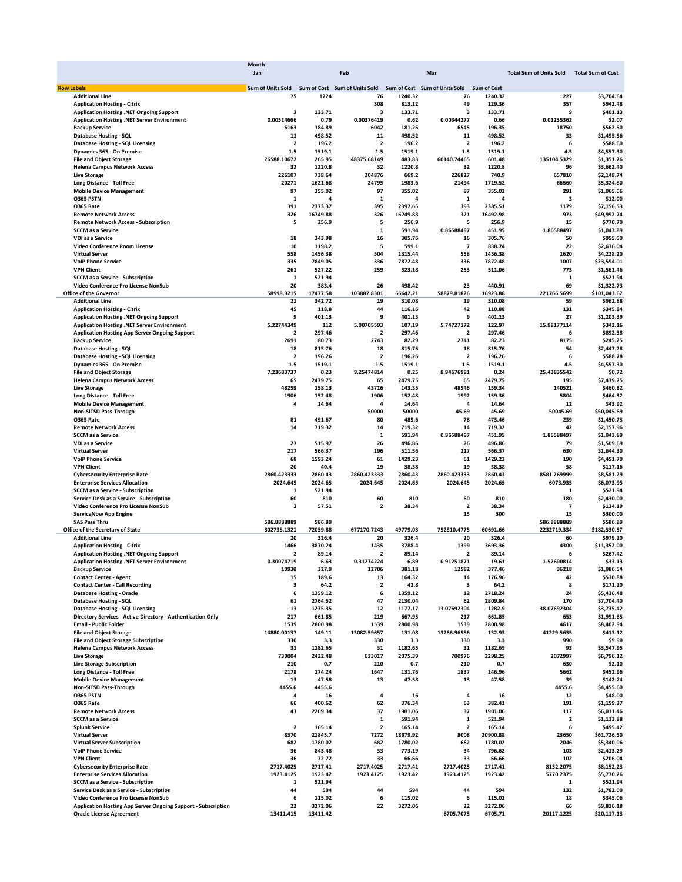|                     |                                                               | Month                                           |          |                         |                  |                               |                    |                                           |                        |
|---------------------|---------------------------------------------------------------|-------------------------------------------------|----------|-------------------------|------------------|-------------------------------|--------------------|-------------------------------------------|------------------------|
|                     |                                                               | Jan                                             |          | Feb                     |                  | Mar                           |                    | Total Sum of Units Sold Total Sum of Cost |                        |
|                     |                                                               |                                                 |          |                         |                  |                               |                    |                                           |                        |
| <b>Row Labels</b>   |                                                               | Sum of Units Sold Sum of Cost Sum of Units Sold |          |                         |                  | Sum of Cost Sum of Units Sold | <b>Sum of Cost</b> |                                           |                        |
|                     | <b>Additional Line</b>                                        | 75                                              | 1224     | 76                      | 1240.32          | 76                            | 1240.32            | 227                                       | \$3,704.64             |
|                     | <b>Application Hosting - Citrix</b>                           |                                                 |          | 308                     | 813.12           | 49                            | 129.36             | 357                                       | \$942.48               |
|                     | Application Hosting .NET Ongoing Support                      | з                                               | 133.71   | 3                       | 133.71           | 3                             | 133.71             | 9                                         | \$401.13               |
|                     | Application Hosting .NET Server Environment                   | 0.00514666                                      | 0.79     | 0.00376419              | 0.62             | 0.00344277                    | 0.66               | 0.01235362                                | \$2.07                 |
|                     | <b>Backup Service</b>                                         | 6163                                            | 184.89   | 6042                    | 181.26           | 6545                          | 196.35             | 18750                                     | \$562.50               |
|                     | <b>Database Hosting - SQL</b>                                 | 11                                              | 498.52   | 11                      | 498.52           | 11                            | 498.52             | 33                                        | \$1,495.56             |
|                     | Database Hosting - SQL Licensing                              | $\overline{\mathbf{2}}$                         | 196.2    | $\overline{\mathbf{2}}$ | 196.2            | $\overline{\mathbf{2}}$       | 196.2              | 6                                         | \$588.60               |
|                     | Dynamics 365 - On Premise                                     | 1.5                                             | 1519.1   | $1.5\,$                 | 1519.1           | $1.5\,$                       | 1519.1             | 4.5                                       | \$4,557.30             |
|                     | <b>File and Object Storage</b>                                | 26588.10672                                     | 265.95   | 48375.68149             | 483.83           | 60140.74465                   | 601.48             | 135104.5329                               | \$1,351.26             |
|                     | <b>Helena Campus Network Access</b>                           | 32                                              | 1220.8   | 32                      | 1220.8           | 32                            | 1220.8             | 96                                        | \$3,662.40             |
| <b>Live Storage</b> |                                                               | 226107                                          | 738.64   | 204876                  | 669.2            | 226827                        | 740.9              | 657810                                    | \$2,148.74             |
|                     | <b>Long Distance - Toll Free</b>                              | 20271                                           | 1621.68  | 24795                   | 1983.6           | 21494                         | 1719.52            | 66560                                     | \$5,324.80             |
|                     | <b>Mobile Device Management</b>                               | 97                                              | 355.02   | 97                      | 355.02           | 97                            | 355.02             | 291                                       | \$1,065.06             |
| <b>0365 PSTN</b>    |                                                               | 1                                               | 4        | 1                       | 4                | 1                             | 4                  | з                                         | \$12.00                |
| <b>0365 Rate</b>    |                                                               | 391                                             | 2373.37  | 395                     | 2397.65          | 393                           | 2385.51            | 1179                                      | \$7,156.53             |
|                     | <b>Remote Network Access</b>                                  | 326                                             | 16749.88 | 326                     | 16749.88         | 321                           | 16492.98           | 973                                       | \$49,992.74            |
|                     | <b>Remote Network Access - Subscription</b>                   | 5                                               | 256.9    | 5                       | 256.9            | 5                             | 256.9              | 15                                        | \$770.70               |
|                     | <b>SCCM as a Service</b>                                      |                                                 |          | 1                       | 591.94           | 0.86588497                    | 451.95             | 1.86588497                                | \$1,043.89             |
|                     | VDI as a Service                                              | 18                                              | 343.98   | 16                      | 305.76           | 16                            | 305.76             | 50                                        | \$955.50               |
|                     | Video Conference Room License                                 | 10                                              | 1198.2   | 5                       | 599.1            | $\overline{7}$                | 838.74             | 22                                        | \$2,636.04             |
|                     | <b>Virtual Server</b>                                         | 558                                             | 1456.38  | 504                     | 1315.44          | 558                           | 1456.38            | 1620                                      | \$4,228.20             |
|                     | <b>VoIP Phone Service</b>                                     | 335                                             | 7849.05  | 336                     | 7872.48          | 336                           | 7872.48            | 1007                                      | \$23,594.01            |
| <b>VPN Client</b>   |                                                               | 261                                             | 527.22   | 259                     | 523.18           | 253                           | 511.06             | 773                                       | \$1,561.46             |
|                     | <b>SCCM as a Service - Subscription</b>                       | 1                                               | 521.94   |                         |                  |                               |                    | 1                                         | \$521.94               |
|                     | Video Conference Pro License NonSub                           | 20                                              | 383.4    | 26                      | 498.42           | 23                            | 440.91             | 69                                        | \$1,322.73             |
|                     | <b>Office of the Governor</b>                                 | 58998.9215                                      | 17477.58 | 103887.8301             | 66642.21         | 58879.81826                   | 16923.88           | 221766.5699                               | \$101,043.67           |
|                     | <b>Additional Line</b>                                        | 21                                              | 342.72   | 19                      | 310.08           | 19                            | 310.08             | 59                                        | \$962.88               |
|                     |                                                               | 45                                              | 118.8    | 44                      | 116.16           | 42                            | 110.88             | 131                                       | \$345.84               |
|                     | <b>Application Hosting - Citrix</b>                           | 9                                               | 401.13   | 9                       |                  | 9                             |                    | 27                                        | \$1,203.39             |
|                     | Application Hosting .NET Ongoing Support                      | 5.22744349                                      | 112      | 5.00705593              | 401.13<br>107.19 | 5.74727172                    | 401.13<br>122.97   |                                           |                        |
|                     | Application Hosting .NET Server Environment                   |                                                 |          |                         |                  |                               |                    | 15.98177114                               | \$342.16               |
|                     | <b>Application Hosting App Server Ongoing Support</b>         | 2                                               | 297.46   | 2                       | 297.46           | 2                             | 297.46             | 6                                         | \$892.38               |
|                     | <b>Backup Service</b>                                         | 2691                                            | 80.73    | 2743                    | 82.29            | 2741                          | 82.23              | 8175                                      | \$245.25               |
|                     | <b>Database Hosting - SQL</b>                                 | 18                                              | 815.76   | 18                      | 815.76           | 18                            | 815.76             | 54                                        | \$2,447.28             |
|                     | <b>Database Hosting - SQL Licensing</b>                       | $\mathbf 2$                                     | 196.26   | $\overline{\mathbf{2}}$ | 196.26           | $\overline{\mathbf{2}}$       | 196.26             | 6                                         | \$588.78               |
|                     | Dynamics 365 - On Premise                                     | 1.5                                             | 1519.1   | 1.5                     | 1519.1           | 1.5                           | 1519.1             | 4.5                                       | \$4,557.30             |
|                     | <b>File and Object Storage</b>                                | 7.23683737                                      | 0.23     | 9.25474814              | 0.25             | 8.94676991                    | 0.24               | 25.43835542                               | \$0.72                 |
|                     | <b>Helena Campus Network Access</b>                           | 65                                              | 2479.75  | 65                      | 2479.75          | 65                            | 2479.75            | 195                                       | \$7,439.25             |
| <b>Live Storage</b> |                                                               | 48259                                           | 158.13   | 43716                   | 143.35           | 48546                         | 159.34             | 140521                                    | \$460.82               |
|                     | <b>Long Distance - Toll Free</b>                              | 1906                                            | 152.48   | 1906                    | 152.48           | 1992                          | 159.36             | 5804                                      | \$464.32               |
|                     | <b>Mobile Device Management</b>                               | 4                                               | 14.64    | 4                       | 14.64            | 4                             | 14.64              | 12                                        | \$43.92                |
|                     | Non-SITSD Pass-Through                                        |                                                 |          | 50000                   | 50000            | 45.69                         | 45.69              | 50045.69                                  | \$50,045.69            |
| <b>0365 Rate</b>    |                                                               | 81                                              | 491.67   | 80                      | 485.6            | 78                            | 473.46             | 239                                       | \$1,450.73             |
|                     | <b>Remote Network Access</b>                                  | 14                                              | 719.32   | 14                      | 719.32           | 14                            | 719.32             | 42                                        | \$2,157.96             |
|                     | <b>SCCM</b> as a Service                                      |                                                 |          | $\mathbf{1}$            | 591.94           | 0.86588497                    | 451.95             | 1.86588497                                | \$1,043.89             |
|                     | VDI as a Service                                              | 27                                              | 515.97   | 26                      | 496.86           | 26                            | 496.86             | 79                                        | \$1,509.69             |
|                     | <b>Virtual Server</b>                                         | 217                                             | 566.37   | 196                     | 511.56           | 217                           | 566.37             | 630                                       | \$1,644.30             |
|                     | <b>VolP Phone Service</b>                                     | 68                                              | 1593.24  | 61                      | 1429.23          | 61                            | 1429.23            | 190                                       | \$4,451.70             |
| <b>VPN Client</b>   |                                                               | 20                                              | 40.4     | 19                      | 38.38            | 19                            | 38.38              | 58                                        | \$117.16               |
|                     | <b>Cybersecurity Enterprise Rate</b>                          | 2860.423333                                     | 2860.43  | 2860.423333             | 2860.43          | 2860.423333                   | 2860.43            | 8581.269999                               | \$8,581.29             |
|                     | <b>Enterprise Services Allocation</b>                         | 2024.645                                        | 2024.65  | 2024.645                | 2024.65          | 2024.645                      | 2024.65            | 6073.935                                  | \$6,073.95             |
|                     | <b>SCCM as a Service - Subscription</b>                       | 1                                               | 521.94   |                         |                  |                               |                    | 1                                         | \$521.94               |
|                     | Service Desk as a Service - Subscription                      | 60                                              | 810      | 60                      | 810              | 60                            | 810                | 180                                       | \$2,430.00             |
|                     | Video Conference Pro License NonSub                           | з                                               | 57.51    | $\overline{\mathbf{2}}$ | 38.34            | $\overline{\mathbf{2}}$       | 38.34              | 7                                         | \$134.19               |
|                     | <b>ServiceNow App Engine</b>                                  |                                                 |          |                         |                  | 15                            | 300                | 15                                        |                        |
|                     |                                                               |                                                 |          |                         |                  |                               |                    |                                           | \$300.00               |
|                     | <b>SAS Pass Thru</b>                                          | 586.8888889<br>802738.1321                      | 586.89   |                         | 49779.03         |                               |                    | 586.8888889                               | \$586.89               |
|                     | Office of the Secretary of State                              |                                                 | 72059.88 | 677170.7243             |                  | 752810.4775                   | 60691.66           | 2232719.334                               | \$182,530.57           |
|                     | <b>Additional Line</b>                                        | 20                                              | 326.4    | 20                      | 326.4            | 20                            | 326.4              | 60                                        | \$979.20               |
|                     | <b>Application Hosting - Citrix</b>                           | 1466                                            | 3870.24  | 1435                    | 3788.4           | 1399                          | 3693.36            | 4300                                      | \$11,352.00            |
|                     | Application Hosting .NET Ongoing Support                      | $\overline{\mathbf{2}}$                         | 89.14    | $\overline{\mathbf{2}}$ | 89.14            | $\overline{\mathbf{2}}$       | 89.14              | 6                                         | \$267.42               |
|                     | Application Hosting .NET Server Environment                   | 0.30074719                                      | 6.63     | 0.31274224              | 6.89             | 0.91251871                    | 19.61              | 1.52600814                                | \$33.13                |
|                     | <b>Backup Service</b>                                         | 10930                                           | 327.9    | 12706                   | 381.18           | 12582                         | 377.46             | 36218                                     | \$1,086.54             |
|                     | <b>Contact Center - Agent</b>                                 | 15                                              | 189.6    | 13                      | 164.32           | 14                            | 176.96             | 42                                        | \$530.88               |
|                     | <b>Contact Center - Call Recording</b>                        | з                                               | 64.2     | $\overline{\mathbf{2}}$ | 42.8             | 3                             | 64.2               | 8                                         | \$171.20               |
|                     | <b>Database Hosting - Oracle</b>                              | 6                                               | 1359.12  | 6                       | 1359.12          | 12                            | 2718.24            | 24                                        | \$5,436.48             |
|                     | <b>Database Hosting - SQL</b>                                 | 61                                              | 2764.52  | 47                      | 2130.04          | 62                            | 2809.84            | 170                                       | \$7,704.40             |
|                     | <b>Database Hosting - SQL Licensing</b>                       | 13                                              | 1275.35  | 12                      | 1177.17          | 13.07692304                   | 1282.9             | 38.07692304                               | \$3,735.42             |
|                     | Directory Services - Active Directory - Authentication Only   | 217                                             | 661.85   | 219                     | 667.95           | 217                           | 661.85             | 653                                       | \$1,991.65             |
|                     | <b>Email - Public Folder</b>                                  | 1539                                            | 2800.98  | 1539                    | 2800.98          | 1539                          | 2800.98            | 4617                                      | \$8,402.94             |
|                     | <b>File and Object Storage</b>                                | 14880.00137                                     | 149.11   | 13082.59657             | 131.08           | 13266.96556                   | 132.93             | 41229.5635                                | \$413.12               |
|                     | File and Object Storage Subscription                          | 330                                             | 3.3      | 330                     | 3.3              | 330                           | 3.3                | 990                                       | \$9.90                 |
|                     | <b>Helena Campus Network Access</b>                           | 31                                              | 1182.65  | 31                      | 1182.65          | 31                            | 1182.65            | 93                                        | \$3,547.95             |
| <b>Live Storage</b> |                                                               | 739004                                          | 2422.48  | 633017                  | 2075.39          | 700976                        | 2298.25            | 2072997                                   | \$6,796.12             |
|                     | <b>Live Storage Subscription</b>                              | 210                                             | 0.7      | 210                     | 0.7              | 210                           | 0.7                | 630                                       | \$2.10                 |
|                     | <b>Long Distance - Toll Free</b>                              | 2178                                            | 174.24   | 1647                    | 131.76           | 1837                          | 146.96             | 5662                                      | \$452.96               |
|                     | <b>Mobile Device Management</b>                               | 13                                              | 47.58    | 13                      | 47.58            | 13                            | 47.58              | 39                                        | \$142.74               |
|                     | Non-SITSD Pass-Through                                        | 4455.6                                          | 4455.6   |                         |                  |                               |                    | 4455.6                                    | \$4,455.60             |
| <b>0365 PSTN</b>    |                                                               | 4                                               | 16       | 4                       | 16               | 4                             | 16                 | 12                                        | \$48.00                |
| <b>0365 Rate</b>    |                                                               | 66                                              | 400.62   | 62                      | 376.34           | 63                            | 382.41             | 191                                       | \$1,159.37             |
|                     | <b>Remote Network Access</b>                                  | 43                                              | 2209.34  | 37                      | 1901.06          | 37                            | 1901.06            | 117                                       | \$6,011.46             |
|                     | <b>SCCM as a Service</b>                                      |                                                 |          | $\mathbf{1}$            | 591.94           | $\mathbf{1}$                  | 521.94             | $\overline{\mathbf{2}}$                   | \$1,113.88             |
|                     | <b>Splunk Service</b>                                         | $\overline{\mathbf{2}}$                         | 165.14   | $\overline{\mathbf{2}}$ | 165.14           | $\overline{\mathbf{2}}$       | 165.14             | 6                                         | \$495.42               |
|                     | <b>Virtual Server</b>                                         | 8370                                            | 21845.7  | 7272                    | 18979.92         | 8008                          | 20900.88           | 23650                                     | \$61,726.50            |
|                     | <b>Virtual Server Subscription</b>                            | 682                                             | 1780.02  | 682                     | 1780.02          | 682                           | 1780.02            | 2046                                      | \$5,340.06             |
|                     | <b>VolP Phone Service</b>                                     | 36                                              |          | 33                      | 773.19           | 34                            | 796.62             | 103                                       |                        |
| <b>VPN Client</b>   |                                                               | 36                                              | 843.48   | 33                      |                  | 33                            |                    | 102                                       | \$2,413.29<br>\$206.04 |
|                     |                                                               |                                                 | 72.72    |                         | 66.66            |                               | 66.66              |                                           |                        |
|                     | <b>Cybersecurity Enterprise Rate</b>                          | 2717.4025                                       | 2717.41  | 2717.4025               | 2717.41          | 2717.4025                     | 2717.41            | 8152.2075                                 | \$8,152.23             |
|                     | <b>Enterprise Services Allocation</b>                         | 1923.4125                                       | 1923.42  | 1923.4125               | 1923.42          | 1923.4125                     | 1923.42            | 5770.2375                                 | \$5,770.26             |
|                     | <b>SCCM as a Service - Subscription</b>                       | 1                                               | 521.94   |                         |                  |                               |                    | 1                                         | \$521.94               |
|                     | Service Desk as a Service - Subscription                      | 44                                              | 594      | 44                      | 594              | 44                            | 594                | 132                                       | \$1,782.00             |
|                     | Video Conference Pro License NonSub                           | 6                                               | 115.02   | 6                       | 115.02           | 6                             | 115.02             | 18                                        | \$345.06               |
|                     | Application Hosting App Server Ongoing Support - Subscription | 22                                              | 3272.06  | 22                      | 3272.06          | 22                            | 3272.06            | 66                                        | \$9,816.18             |
|                     | <b>Oracle License Agreement</b>                               | 13411.415                                       | 13411.42 |                         |                  | 6705.7075                     | 6705.71            | 20117.1225                                | \$20,117.13            |